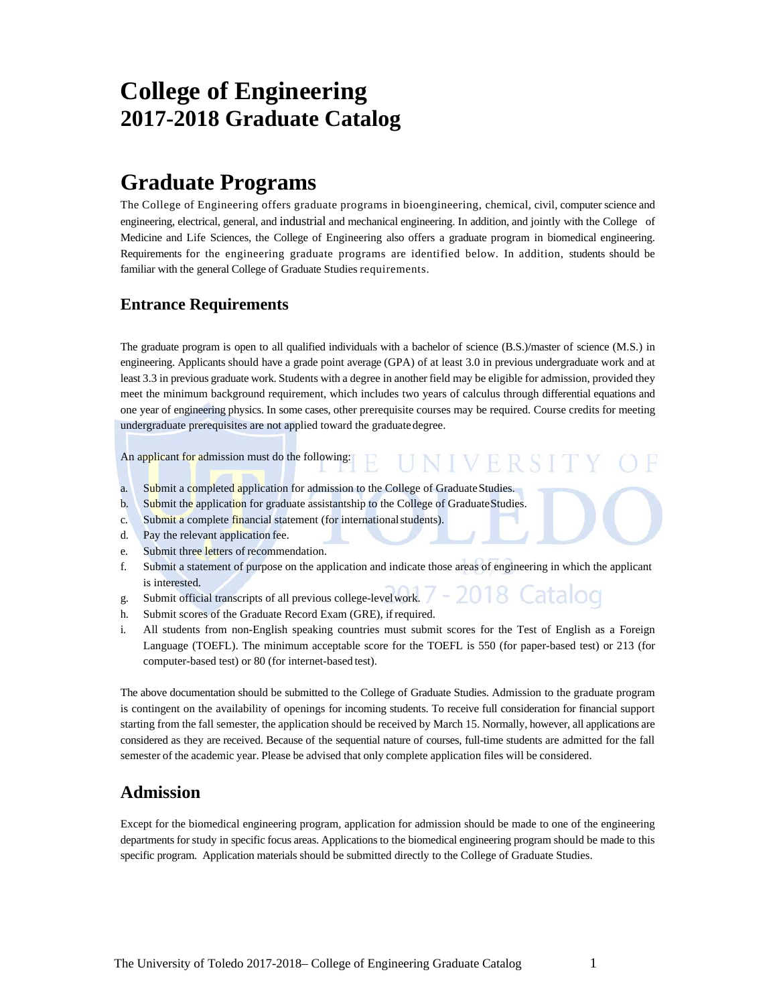# **College of Engineering 2017-2018 Graduate Catalog**

# **Graduate Programs**

The College of Engineering offers graduate programs in bioengineering, chemical, civil, computer science and engineering, electrical, general, and industrial and mechanical engineering. In addition, and jointly with the College of Medicine and Life Sciences, the College of Engineering also offers a graduate program in biomedical engineering. Requirements for the engineering graduate programs are identified below. In addition, students should be familiar with the general College of Graduate Studies requirements.

### **Entrance Requirements**

The graduate program is open to all qualified individuals with a bachelor of science (B.S.)/master of science (M.S.) in engineering. Applicants should have a grade point average (GPA) of at least 3.0 in previous undergraduate work and at least 3.3 in previous graduate work. Students with a degree in another field may be eligible for admission, provided they meet the minimum background requirement, which includes two years of calculus through differential equations and one year of engineering physics. In some cases, other prerequisite courses may be required. Course credits for meeting undergraduate prerequisites are not applied toward the graduate degree.

IVER

An applicant for admission must do the following:

- a. Submit a completed application for admission to the College of Graduate Studies.
- b. Submit the application for graduate assistantship to the College of Graduate Studies.
- c. Submit a complete financial statement (for international students).
- d. Pay the relevant application fee.
- e. Submit three letters of recommendation.
- f. Submit a statement of purpose on the application and indicate those areas of engineering in which the applicant is interested. talod
- g. Submit official transcripts of all previous college-level work.
- h. Submit scores of the Graduate Record Exam (GRE), if required.
- i. All students from non-English speaking countries must submit scores for the Test of English as a Foreign Language (TOEFL). The minimum acceptable score for the TOEFL is 550 (for paper-based test) or 213 (for computer-based test) or 80 (for internet-based test).

The above documentation should be submitted to the College of Graduate Studies. Admission to the graduate program is contingent on the availability of openings for incoming students. To receive full consideration for financial support starting from the fall semester, the application should be received by March 15. Normally, however, all applications are considered as they are received. Because of the sequential nature of courses, full-time students are admitted for the fall semester of the academic year. Please be advised that only complete application files will be considered.

### **Admission**

Except for the biomedical engineering program, application for admission should be made to one of the engineering departments for study in specific focus areas. Applications to the biomedical engineering program should be made to this specific program. Application materials should be submitted directly to the College of Graduate Studies.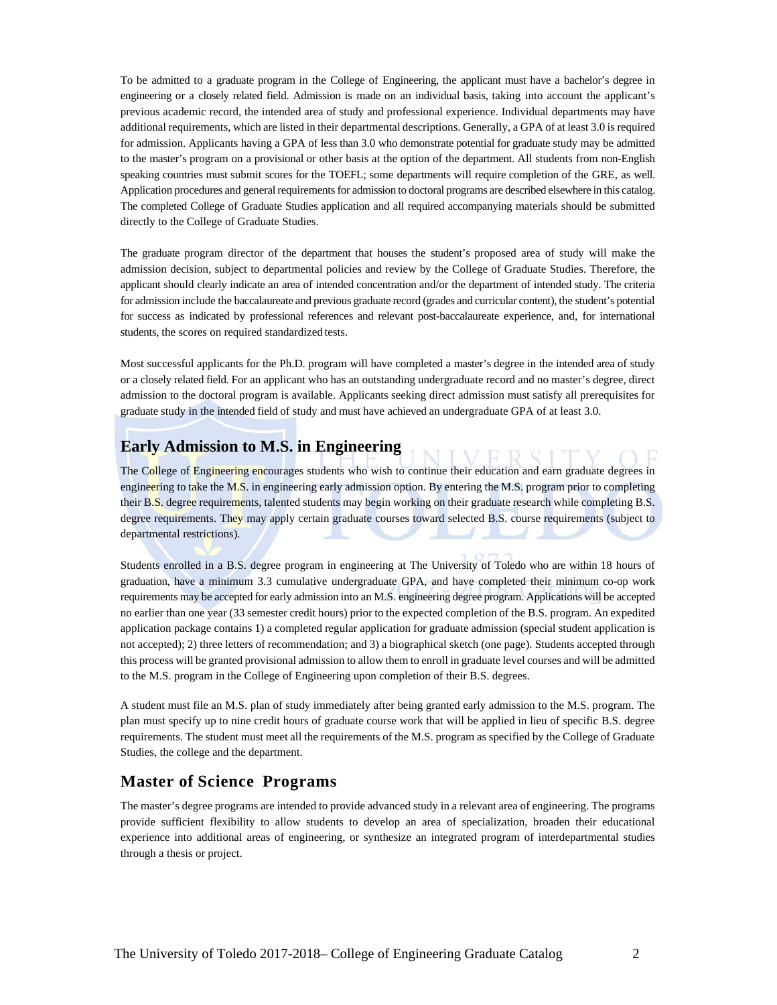To be admitted to a graduate program in the College of Engineering, the applicant must have a bachelor's degree in engineering or a closely related field. Admission is made on an individual basis, taking into account the applicant's previous academic record, the intended area of study and professional experience. Individual departments may have additional requirements, which are listed in their departmental descriptions. Generally, a GPA of at least 3.0 is required for admission. Applicants having a GPA of less than 3.0 who demonstrate potential for graduate study may be admitted to the master's program on a provisional or other basis at the option of the department. All students from non-English speaking countries must submit scores for the TOEFL; some departments will require completion of the GRE, as well. Application procedures and general requirements for admission to doctoral programs are described elsewhere in this catalog. The completed College of Graduate Studies application and all required accompanying materials should be submitted directly to the College of Graduate Studies.

The graduate program director of the department that houses the student's proposed area of study will make the admission decision, subject to departmental policies and review by the College of Graduate Studies. Therefore, the applicant should clearly indicate an area of intended concentration and/or the department of intended study. The criteria for admission include the baccalaureate and previous graduate record (grades and curricular content), the student's potential for success as indicated by professional references and relevant post-baccalaureate experience, and, for international students, the scores on required standardized tests.

Most successful applicants for the Ph.D. program will have completed a master's degree in the intended area of study or a closely related field. For an applicant who has an outstanding undergraduate record and no master's degree, direct admission to the doctoral program is available. Applicants seeking direct admission must satisfy all prerequisites for graduate study in the intended field of study and must have achieved an undergraduate GPA of at least 3.0.

### **Early Admission to M.S. in Engineering**

The College of Engineering encourages students who wish to continue their education and earn graduate degrees in engineering to take the M.S. in engineering early admission option. By entering the M.S. program prior to completing their B.S. degree requirements, talented students may begin working on their graduate research while completing B.S. degree requirements. They may apply certain graduate courses toward selected B.S. course requirements (subject to departmental restrictions).

Students enrolled in a B.S. degree program in engineering at The University of Toledo who are within 18 hours of graduation, have a minimum 3.3 cumulative undergraduate GPA, and have completed their minimum co-op work requirements may be accepted for early admission into an M.S. engineering degree program. Applications will be accepted no earlier than one year (33 semester credit hours) prior to the expected completion of the B.S. program. An expedited application package contains 1) a completed regular application for graduate admission (special student application is not accepted); 2) three letters of recommendation; and 3) a biographical sketch (one page). Students accepted through this process will be granted provisional admission to allow them to enroll in graduate level courses and will be admitted to the M.S. program in the College of Engineering upon completion of their B.S. degrees.

A student must file an M.S. plan of study immediately after being granted early admission to the M.S. program. The plan must specify up to nine credit hours of graduate course work that will be applied in lieu of specific B.S. degree requirements. The student must meet all the requirements of the M.S. program as specified by the College of Graduate Studies, the college and the department.

### **Master of Science Programs**

The master's degree programs are intended to provide advanced study in a relevant area of engineering. The programs provide sufficient flexibility to allow students to develop an area of specialization, broaden their educational experience into additional areas of engineering, or synthesize an integrated program of interdepartmental studies through a thesis or project.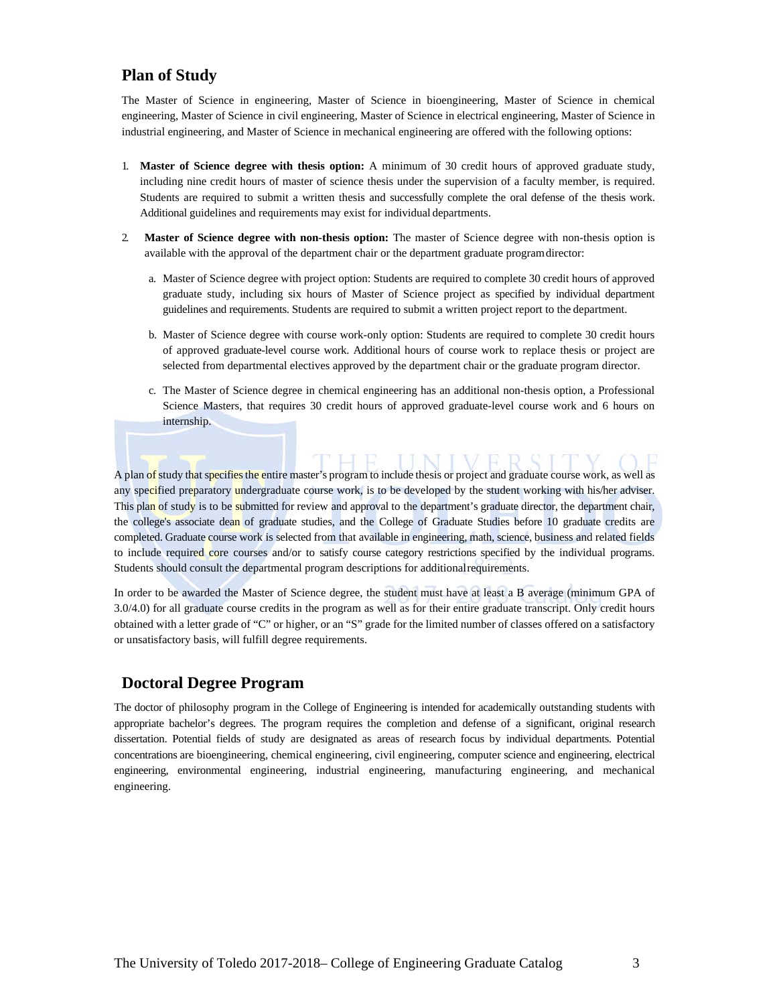### **Plan of Study**

The Master of Science in engineering, Master of Science in bioengineering, Master of Science in chemical engineering, Master of Science in civil engineering, Master of Science in electrical engineering, Master of Science in industrial engineering, and Master of Science in mechanical engineering are offered with the following options:

- 1. **Master of Science degree with thesis option:** A minimum of 30 credit hours of approved graduate study, including nine credit hours of master of science thesis under the supervision of a faculty member, is required. Students are required to submit a written thesis and successfully complete the oral defense of the thesis work. Additional guidelines and requirements may exist for individual departments.
- 2. **Master of Science degree with non-thesis option:** The master of Science degree with non-thesis option is available with the approval of the department chair or the department graduate program director:
	- a. Master of Science degree with project option: Students are required to complete 30 credit hours of approved graduate study, including six hours of Master of Science project as specified by individual department guidelines and requirements. Students are required to submit a written project report to the department.
	- b. Master of Science degree with course work-only option: Students are required to complete 30 credit hours of approved graduate-level course work. Additional hours of course work to replace thesis or project are selected from departmental electives approved by the department chair or the graduate program director.
	- c. The Master of Science degree in chemical engineering has an additional non-thesis option, a Professional Science Masters, that requires 30 credit hours of approved graduate-level course work and 6 hours on internship.

A plan of study that specifies the entire master's program to include thesis or project and graduate course work, as well as any specified preparatory undergraduate course work, is to be developed by the student working with his/her adviser. This plan of study is to be submitted for review and approval to the department's graduate director, the department chair, the college's associate dean of graduate studies, and the College of Graduate Studies before 10 graduate credits are completed. Graduate course work is selected from that available in engineering, math, science, business and related fields to include required core courses and/or to satisfy course category restrictions specified by the individual programs. Students should consult the departmental program descriptions for additional requirements.

In order to be awarded the Master of Science degree, the student must have at least a B average (minimum GPA of 3.0/4.0) for all graduate course credits in the program as well as for their entire graduate transcript. Only credit hours obtained with a letter grade of "C" or higher, or an "S" grade for the limited number of classes offered on a satisfactory or unsatisfactory basis, will fulfill degree requirements.

### **Doctoral Degree Program**

The doctor of philosophy program in the College of Engineering is intended for academically outstanding students with appropriate bachelor's degrees. The program requires the completion and defense of a significant, original research dissertation. Potential fields of study are designated as areas of research focus by individual departments. Potential concentrations are bioengineering, chemical engineering, civil engineering, computer science and engineering, electrical engineering, environmental engineering, industrial engineering, manufacturing engineering, and mechanical engineering.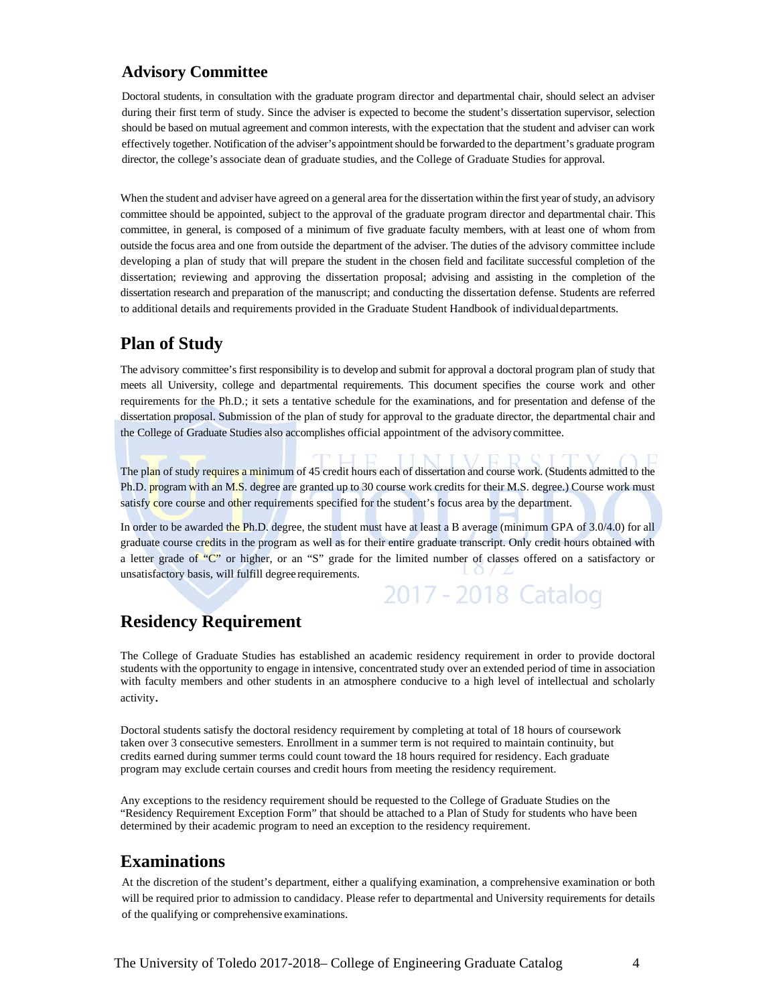### **Advisory Committee**

Doctoral students, in consultation with the graduate program director and departmental chair, should select an adviser during their first term of study. Since the adviser is expected to become the student's dissertation supervisor, selection should be based on mutual agreement and common interests, with the expectation that the student and adviser can work effectively together. Notification of the adviser's appointment should be forwarded to the department's graduate program director, the college's associate dean of graduate studies, and the College of Graduate Studies for approval.

When the student and adviser have agreed on a general area for the dissertation within the first year of study, an advisory committee should be appointed, subject to the approval of the graduate program director and departmental chair. This committee, in general, is composed of a minimum of five graduate faculty members, with at least one of whom from outside the focus area and one from outside the department of the adviser. The duties of the advisory committee include developing a plan of study that will prepare the student in the chosen field and facilitate successful completion of the dissertation; reviewing and approving the dissertation proposal; advising and assisting in the completion of the dissertation research and preparation of the manuscript; and conducting the dissertation defense. Students are referred to additional details and requirements provided in the Graduate Student Handbook of individual departments.

## **Plan of Study**

The advisory committee's first responsibility is to develop and submit for approval a doctoral program plan of study that meets all University, college and departmental requirements. This document specifies the course work and other requirements for the Ph.D.; it sets a tentative schedule for the examinations, and for presentation and defense of the dissertation proposal. Submission of the plan of study for approval to the graduate director, the departmental chair and the College of Graduate Studies also accomplishes official appointment of the advisory committee.

The plan of study requires a minimum of 45 credit hours each of dissertation and course work. (Students admitted to the Ph.D. program with an M.S. degree are granted up to 30 course work credits for their M.S. degree.) Course work must satisfy core course and other requirements specified for the student's focus area by the department.

In order to be awarded the Ph.D. degree, the student must have at least a B average (minimum GPA of 3.0/4.0) for all graduate course credits in the program as well as for their entire graduate transcript. Only credit hours obtained with a letter grade of "C" or higher, or an "S" grade for the limited number of classes offered on a satisfactory or unsatisfactory basis, will fulfill degree requirements. 2017 - 2018 Catalog

## **Residency Requirement**

The College of Graduate Studies has established an academic residency requirement in order to provide doctoral students with the opportunity to engage in intensive, concentrated study over an extended period of time in association with faculty members and other students in an atmosphere conducive to a high level of intellectual and scholarly activity.

Doctoral students satisfy the doctoral residency requirement by completing at total of 18 hours of coursework taken over 3 consecutive semesters. Enrollment in a summer term is not required to maintain continuity, but credits earned during summer terms could count toward the 18 hours required for residency. Each graduate program may exclude certain courses and credit hours from meeting the residency requirement.

Any exceptions to the residency requirement should be requested to the College of Graduate Studies on the "Residency Requirement Exception Form" that should be attached to a Plan of Study for students who have been determined by their academic program to need an exception to the residency requirement.

## **Examinations**

At the discretion of the student's department, either a qualifying examination, a comprehensive examination or both will be required prior to admission to candidacy. Please refer to departmental and University requirements for details of the qualifying or comprehensive examinations.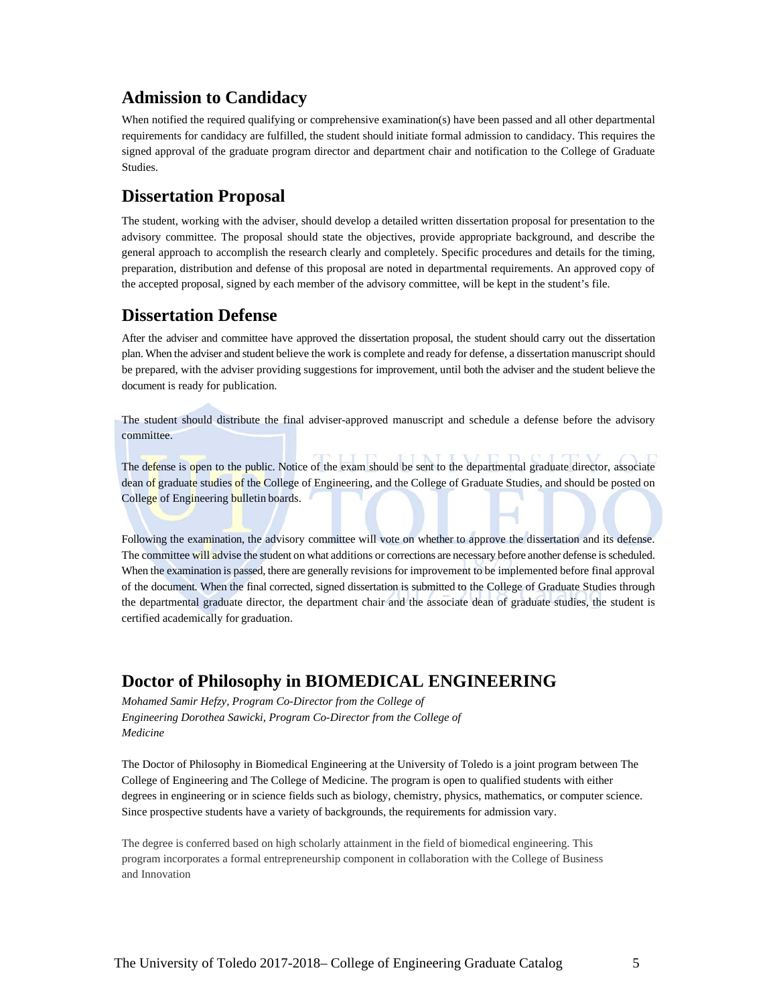## **Admission to Candidacy**

When notified the required qualifying or comprehensive examination(s) have been passed and all other departmental requirements for candidacy are fulfilled, the student should initiate formal admission to candidacy. This requires the signed approval of the graduate program director and department chair and notification to the College of Graduate Studies.

### **Dissertation Proposal**

The student, working with the adviser, should develop a detailed written dissertation proposal for presentation to the advisory committee. The proposal should state the objectives, provide appropriate background, and describe the general approach to accomplish the research clearly and completely. Specific procedures and details for the timing, preparation, distribution and defense of this proposal are noted in departmental requirements. An approved copy of the accepted proposal, signed by each member of the advisory committee, will be kept in the student's file.

### **Dissertation Defense**

After the adviser and committee have approved the dissertation proposal, the student should carry out the dissertation plan. When the adviser and student believe the work is complete and ready for defense, a dissertation manuscript should be prepared, with the adviser providing suggestions for improvement, until both the adviser and the student believe the document is ready for publication.

The student should distribute the final adviser-approved manuscript and schedule a defense before the advisory committee.

The defense is open to the public. Notice of the exam should be sent to the departmental graduate director, associate dean of graduate studies of the College of Engineering, and the College of Graduate Studies, and should be posted on College of Engineering bulletin boards.

Following the examination, the advisory committee will vote on whether to approve the dissertation and its defense. The committee will advise the student on what additions or corrections are necessary before another defense is scheduled. When the examination is passed, there are generally revisions for improvement to be implemented before final approval of the document. When the final corrected, signed dissertation is submitted to the College of Graduate Studies through the departmental graduate director, the department chair and the associate dean of graduate studies, the student is certified academically for graduation.

## **Doctor of Philosophy in BIOMEDICAL ENGINEERING**

*Mohamed Samir Hefzy, Program Co-Director from the College of Engineering Dorothea Sawicki, Program Co-Director from the College of Medicine* 

The Doctor of Philosophy in Biomedical Engineering at the University of Toledo is a joint program between The College of Engineering and The College of Medicine. The program is open to qualified students with either degrees in engineering or in science fields such as biology, chemistry, physics, mathematics, or computer science. Since prospective students have a variety of backgrounds, the requirements for admission vary.

The degree is conferred based on high scholarly attainment in the field of biomedical engineering. This program incorporates a formal entrepreneurship component in collaboration with the College of Business and Innovation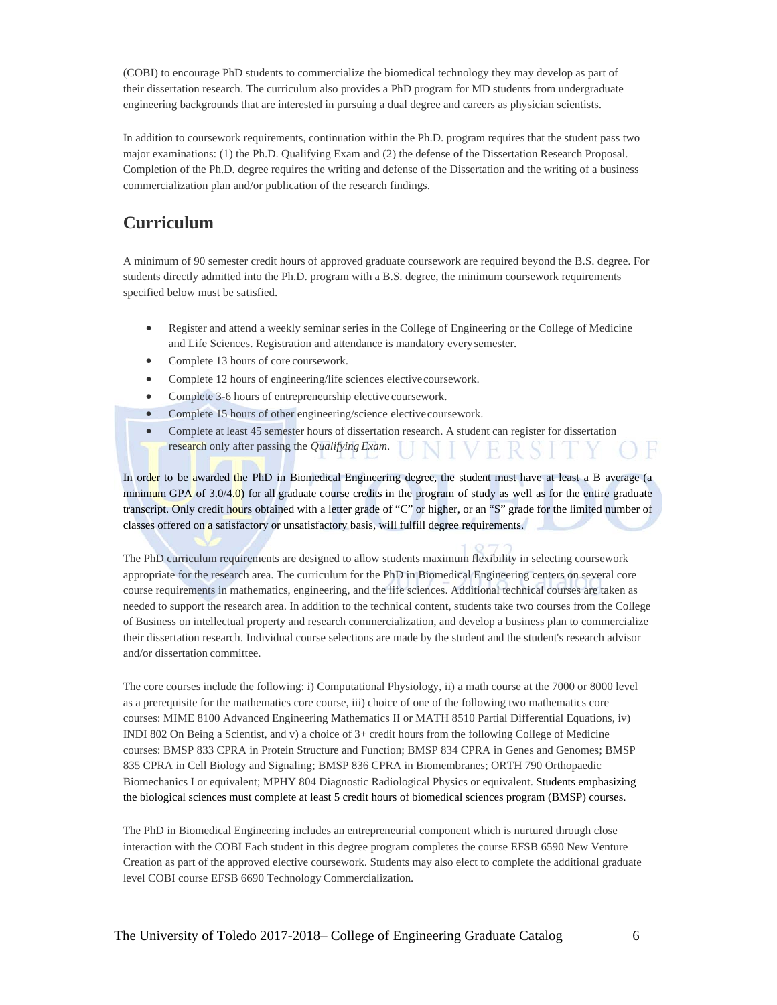(COBI) to encourage PhD students to commercialize the biomedical technology they may develop as part of their dissertation research. The curriculum also provides a PhD program for MD students from undergraduate engineering backgrounds that are interested in pursuing a dual degree and careers as physician scientists.

In addition to coursework requirements, continuation within the Ph.D. program requires that the student pass two major examinations: (1) the Ph.D. Qualifying Exam and (2) the defense of the Dissertation Research Proposal. Completion of the Ph.D. degree requires the writing and defense of the Dissertation and the writing of a business commercialization plan and/or publication of the research findings.

## **Curriculum**

A minimum of 90 semester credit hours of approved graduate coursework are required beyond the B.S. degree. For students directly admitted into the Ph.D. program with a B.S. degree, the minimum coursework requirements specified below must be satisfied.

- Register and attend a weekly seminar series in the College of Engineering or the College of Medicine and Life Sciences. Registration and attendance is mandatory every semester.
- Complete 13 hours of core coursework.
- Complete 12 hours of engineering/life sciences elective coursework.
- Complete 3-6 hours of entrepreneurship elective coursework.
- Complete 15 hours of other engineering/science elective coursework.
- Complete at least 45 semester hours of dissertation research. A student can register for dissertation research only after passing the *Qualifying Exam*.

In order to be awarded the PhD in Biomedical Engineering degree, the student must have at least a B average (a minimum GPA of  $3.0/4.0$ ) for all graduate course credits in the program of study as well as for the entire graduate transcript. Only credit hours obtained with a letter grade of "C" or higher, or an "S" grade for the limited number of classes offered on a satisfactory or unsatisfactory basis, will fulfill degree requirements.

The PhD curriculum requirements are designed to allow students maximum flexibility in selecting coursework appropriate for the research area. The curriculum for the PhD in Biomedical Engineering centers on several core course requirements in mathematics, engineering, and the life sciences. Additional technical courses are taken as needed to support the research area. In addition to the technical content, students take two courses from the College of Business on intellectual property and research commercialization, and develop a business plan to commercialize their dissertation research. Individual course selections are made by the student and the student's research advisor and/or dissertation committee.

The core courses include the following: i) Computational Physiology, ii) a math course at the 7000 or 8000 level as a prerequisite for the mathematics core course, iii) choice of one of the following two mathematics core courses: MIME 8100 Advanced Engineering Mathematics II or MATH 8510 Partial Differential Equations, iv) INDI 802 On Being a Scientist, and v) a choice of 3+ credit hours from the following College of Medicine courses: BMSP 833 CPRA in Protein Structure and Function; BMSP 834 CPRA in Genes and Genomes; BMSP 835 CPRA in Cell Biology and Signaling; BMSP 836 CPRA in Biomembranes; ORTH 790 Orthopaedic Biomechanics I or equivalent; MPHY 804 Diagnostic Radiological Physics or equivalent. Students emphasizing the biological sciences must complete at least 5 credit hours of biomedical sciences program (BMSP) courses.

The PhD in Biomedical Engineering includes an entrepreneurial component which is nurtured through close interaction with the COBI Each student in this degree program completes the course EFSB 6590 New Venture Creation as part of the approved elective coursework. Students may also elect to complete the additional graduate level COBI course EFSB 6690 Technology Commercialization.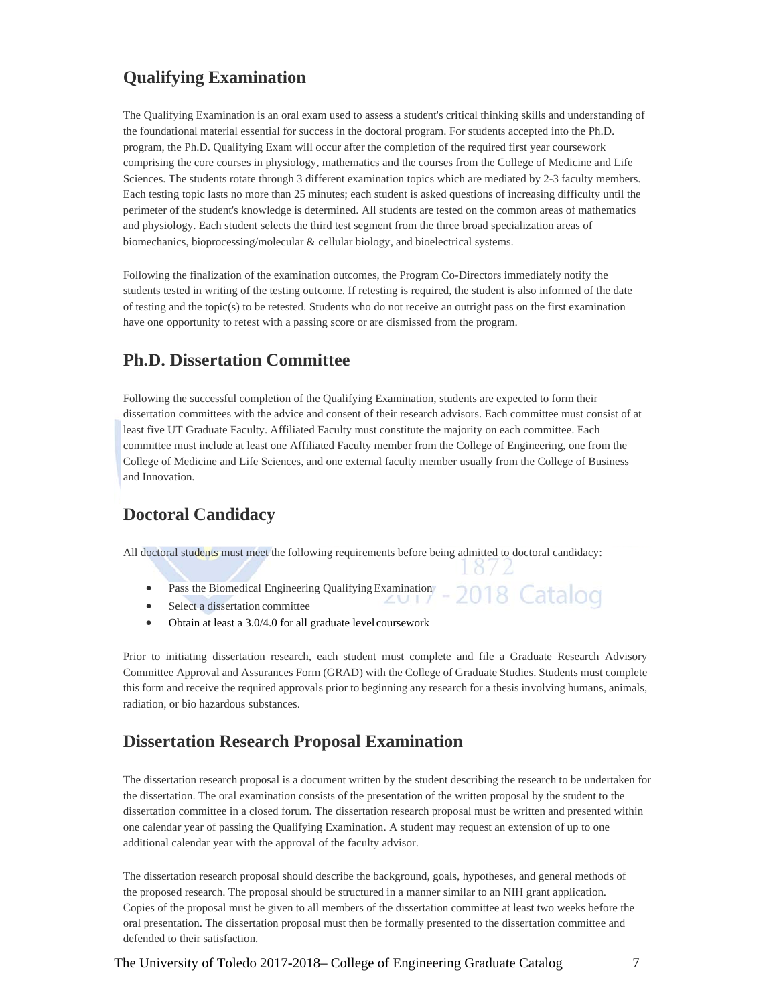## **Qualifying Examination**

The Qualifying Examination is an oral exam used to assess a student's critical thinking skills and understanding of the foundational material essential for success in the doctoral program. For students accepted into the Ph.D. program, the Ph.D. Qualifying Exam will occur after the completion of the required first year coursework comprising the core courses in physiology, mathematics and the courses from the College of Medicine and Life Sciences. The students rotate through 3 different examination topics which are mediated by 2-3 faculty members. Each testing topic lasts no more than 25 minutes; each student is asked questions of increasing difficulty until the perimeter of the student's knowledge is determined. All students are tested on the common areas of mathematics and physiology. Each student selects the third test segment from the three broad specialization areas of biomechanics, bioprocessing/molecular & cellular biology, and bioelectrical systems.

Following the finalization of the examination outcomes, the Program Co-Directors immediately notify the students tested in writing of the testing outcome. If retesting is required, the student is also informed of the date of testing and the topic(s) to be retested. Students who do not receive an outright pass on the first examination have one opportunity to retest with a passing score or are dismissed from the program.

## **Ph.D. Dissertation Committee**

Following the successful completion of the Qualifying Examination, students are expected to form their dissertation committees with the advice and consent of their research advisors. Each committee must consist of at least five UT Graduate Faculty. Affiliated Faculty must constitute the majority on each committee. Each committee must include at least one Affiliated Faculty member from the College of Engineering, one from the College of Medicine and Life Sciences, and one external faculty member usually from the College of Business and Innovation.

## **Doctoral Candidacy**

All doctoral students must meet the following requirements before being admitted to doctoral candidacy:

 Pass the Biomedical Engineering Qualifying Examination 2018 Catalog

 $18/2$ 

- Select a dissertation committee
- Obtain at least a 3.0/4.0 for all graduate level coursework

Prior to initiating dissertation research, each student must complete and file a Graduate Research Advisory Committee Approval and Assurances Form (GRAD) with the College of Graduate Studies. Students must complete this form and receive the required approvals prior to beginning any research for a thesis involving humans, animals, radiation, or bio hazardous substances.

## **Dissertation Research Proposal Examination**

The dissertation research proposal is a document written by the student describing the research to be undertaken for the dissertation. The oral examination consists of the presentation of the written proposal by the student to the dissertation committee in a closed forum. The dissertation research proposal must be written and presented within one calendar year of passing the Qualifying Examination. A student may request an extension of up to one additional calendar year with the approval of the faculty advisor.

The dissertation research proposal should describe the background, goals, hypotheses, and general methods of the proposed research. The proposal should be structured in a manner similar to an NIH grant application. Copies of the proposal must be given to all members of the dissertation committee at least two weeks before the oral presentation. The dissertation proposal must then be formally presented to the dissertation committee and defended to their satisfaction.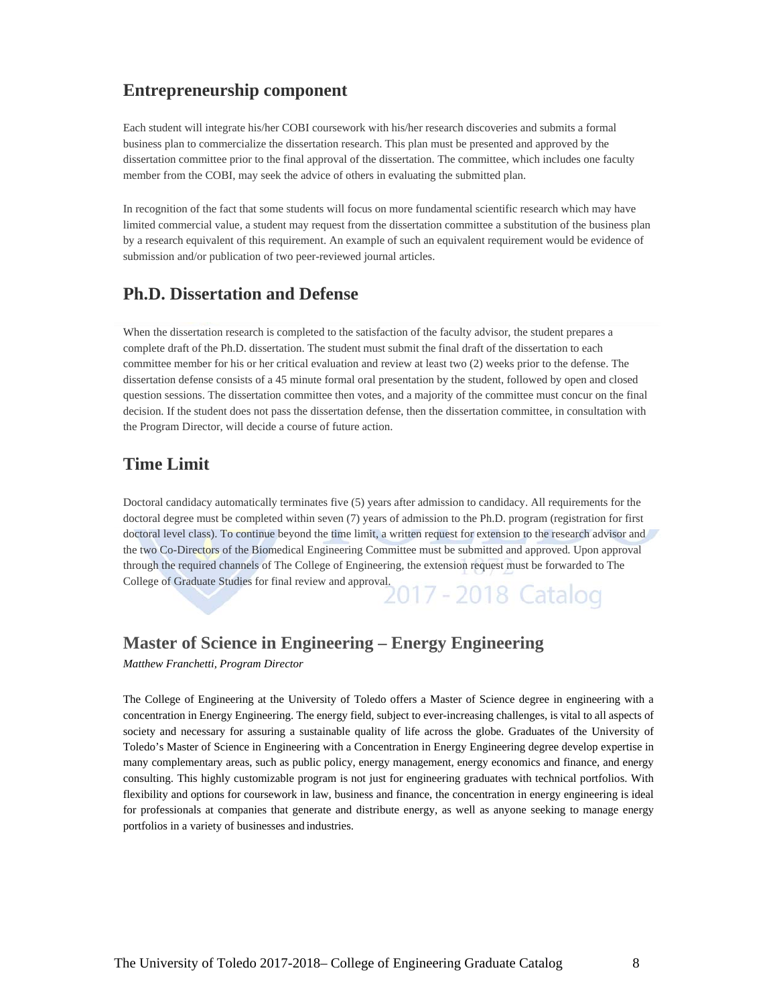## **Entrepreneurship component**

Each student will integrate his/her COBI coursework with his/her research discoveries and submits a formal business plan to commercialize the dissertation research. This plan must be presented and approved by the dissertation committee prior to the final approval of the dissertation. The committee, which includes one faculty member from the COBI, may seek the advice of others in evaluating the submitted plan.

In recognition of the fact that some students will focus on more fundamental scientific research which may have limited commercial value, a student may request from the dissertation committee a substitution of the business plan by a research equivalent of this requirement. An example of such an equivalent requirement would be evidence of submission and/or publication of two peer-reviewed journal articles.

### **Ph.D. Dissertation and Defense**

When the dissertation research is completed to the satisfaction of the faculty advisor, the student prepares a complete draft of the Ph.D. dissertation. The student must submit the final draft of the dissertation to each committee member for his or her critical evaluation and review at least two (2) weeks prior to the defense. The dissertation defense consists of a 45 minute formal oral presentation by the student, followed by open and closed question sessions. The dissertation committee then votes, and a majority of the committee must concur on the final decision. If the student does not pass the dissertation defense, then the dissertation committee, in consultation with the Program Director, will decide a course of future action.

### **Time Limit**

Doctoral candidacy automatically terminates five (5) years after admission to candidacy. All requirements for the doctoral degree must be completed within seven (7) years of admission to the Ph.D. program (registration for first doctoral level class). To continue beyond the time limit, a written request for extension to the research advisor and the two Co-Directors of the Biomedical Engineering Committee must be submitted and approved. Upon approval through the required channels of The College of Engineering, the extension request must be forwarded to The College of Graduate Studies for final review and approval.<br>2017 - 2018 Catalog

### **Master of Science in Engineering – Energy Engineering**

*Matthew Franchetti, Program Director* 

The College of Engineering at the University of Toledo offers a Master of Science degree in engineering with a concentration in Energy Engineering. The energy field, subject to ever-increasing challenges, is vital to all aspects of society and necessary for assuring a sustainable quality of life across the globe. Graduates of the University of Toledo's Master of Science in Engineering with a Concentration in Energy Engineering degree develop expertise in many complementary areas, such as public policy, energy management, energy economics and finance, and energy consulting. This highly customizable program is not just for engineering graduates with technical portfolios. With flexibility and options for coursework in law, business and finance, the concentration in energy engineering is ideal for professionals at companies that generate and distribute energy, as well as anyone seeking to manage energy portfolios in a variety of businesses and industries.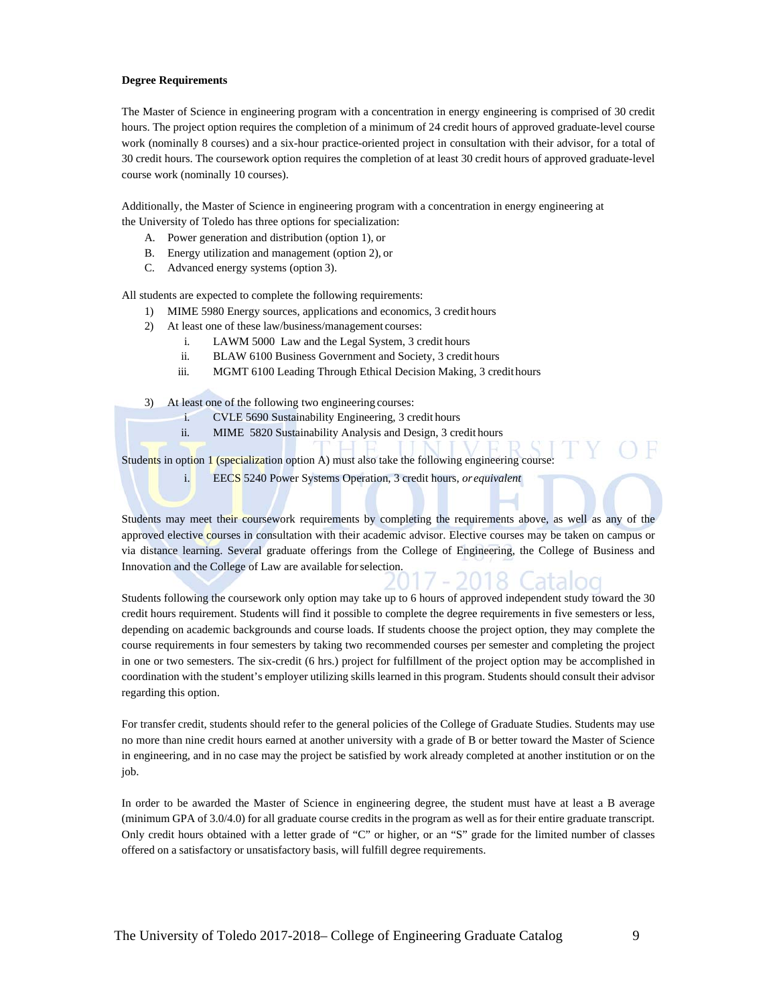#### **Degree Requirements**

The Master of Science in engineering program with a concentration in energy engineering is comprised of 30 credit hours. The project option requires the completion of a minimum of 24 credit hours of approved graduate-level course work (nominally 8 courses) and a six-hour practice-oriented project in consultation with their advisor, for a total of 30 credit hours. The coursework option requires the completion of at least 30 credit hours of approved graduate-level course work (nominally 10 courses).

Additionally, the Master of Science in engineering program with a concentration in energy engineering at the University of Toledo has three options for specialization:

- A. Power generation and distribution (option 1), or
- B. Energy utilization and management (option 2), or
- C. Advanced energy systems (option 3).

All students are expected to complete the following requirements:

- 1) MIME 5980 Energy sources, applications and economics, 3 credit hours
- 2) At least one of these law/business/management courses:
	- i. LAWM 5000 Law and the Legal System, 3 credit hours
	- ii. BLAW 6100 Business Government and Society, 3 credit hours
	- iii. MGMT 6100 Leading Through Ethical Decision Making, 3 credit hours

3) At least one of the following two engineering courses:

- i. CVLE 5690 Sustainability Engineering, 3 credit hours
- ii. MIME 5820 Sustainability Analysis and Design, 3 credit hours

Students in option 1 (specialization option A) must also take the following engineering course:

i. EECS 5240 Power Systems Operation, 3 credit hours, *or equivalent* 

Students may meet their coursework requirements by completing the requirements above, as well as any of the approved elective courses in consultation with their academic advisor. Elective courses may be taken on campus or via distance learning. Several graduate offerings from the College of Engineering, the College of Business and Innovation and the College of Law are available for selection.

Students following the coursework only option may take up to 6 hours of approved independent study toward the 30 credit hours requirement. Students will find it possible to complete the degree requirements in five semesters or less, depending on academic backgrounds and course loads. If students choose the project option, they may complete the course requirements in four semesters by taking two recommended courses per semester and completing the project in one or two semesters. The six-credit (6 hrs.) project for fulfillment of the project option may be accomplished in coordination with the student's employer utilizing skills learned in this program. Students should consult their advisor regarding this option.

For transfer credit, students should refer to the general policies of the College of Graduate Studies. Students may use no more than nine credit hours earned at another university with a grade of B or better toward the Master of Science in engineering, and in no case may the project be satisfied by work already completed at another institution or on the job.

In order to be awarded the Master of Science in engineering degree, the student must have at least a B average (minimum GPA of 3.0/4.0) for all graduate course credits in the program as well as for their entire graduate transcript. Only credit hours obtained with a letter grade of "C" or higher, or an "S" grade for the limited number of classes offered on a satisfactory or unsatisfactory basis, will fulfill degree requirements.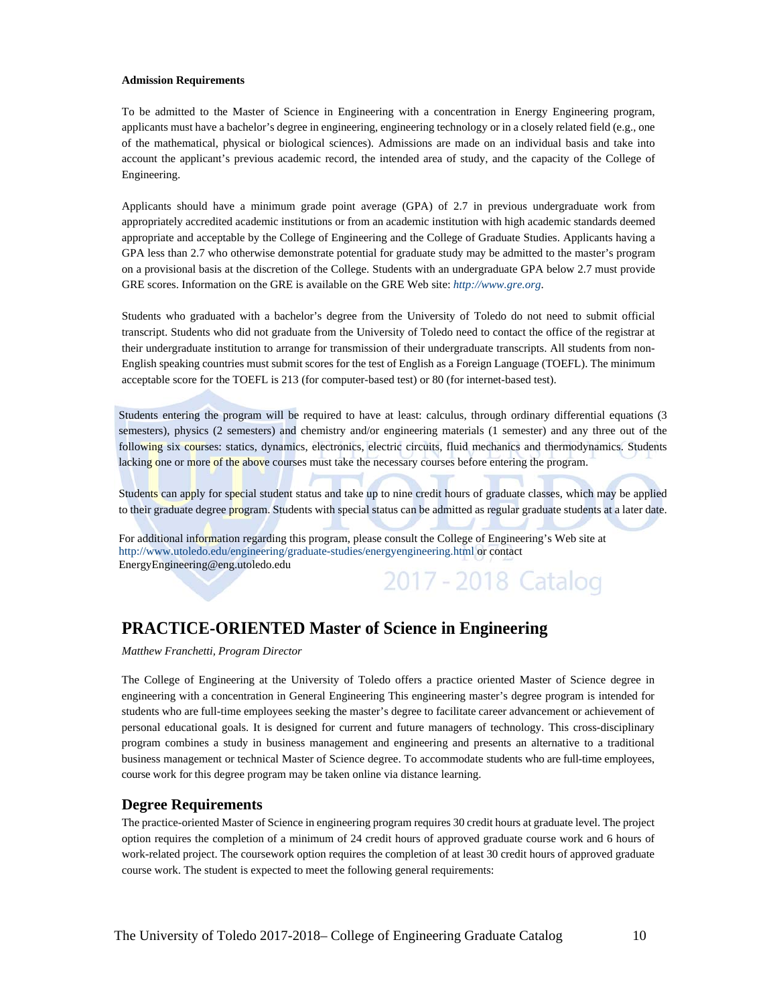#### **Admission Requirements**

To be admitted to the Master of Science in Engineering with a concentration in Energy Engineering program, applicants must have a bachelor's degree in engineering, engineering technology or in a closely related field (e.g., one of the mathematical, physical or biological sciences). Admissions are made on an individual basis and take into account the applicant's previous academic record, the intended area of study, and the capacity of the College of Engineering.

Applicants should have a minimum grade point average (GPA) of 2.7 in previous undergraduate work from appropriately accredited academic institutions or from an academic institution with high academic standards deemed appropriate and acceptable by the College of Engineering and the College of Graduate Studies. Applicants having a GPA less than 2.7 who otherwise demonstrate potential for graduate study may be admitted to the master's program on a provisional basis at the discretion of the College. Students with an undergraduate GPA below 2.7 must provide GRE scores. Information on the GRE is available on the GRE Web site: *http://www.gre.org*.

Students who graduated with a bachelor's degree from the University of Toledo do not need to submit official transcript. Students who did not graduate from the University of Toledo need to contact the office of the registrar at their undergraduate institution to arrange for transmission of their undergraduate transcripts. All students from non-English speaking countries must submit scores for the test of English as a Foreign Language (TOEFL). The minimum acceptable score for the TOEFL is 213 (for computer-based test) or 80 (for internet-based test).

Students entering the program will be required to have at least: calculus, through ordinary differential equations (3 semesters), physics (2 semesters) and chemistry and/or engineering materials (1 semester) and any three out of the following six courses: statics, dynamics, electronics, electric circuits, fluid mechanics and thermodynamics. Students lacking one or more of the above courses must take the necessary courses before entering the program.

Students can apply for special student status and take up to nine credit hours of graduate classes, which may be applied to their graduate degree program. Students with special status can be admitted as regular graduate students at a later date.

For additional information regarding this program, please consult the College of Engineering's Web site at http://www.utoledo.edu/engineering/graduate-studies/energyengineering.html or contact EnergyEngineering@eng.utoledo.edu 2017 - 2018 Catalog

## **PRACTICE-ORIENTED Master of Science in Engineering**

*Matthew Franchetti, Program Director* 

The College of Engineering at the University of Toledo offers a practice oriented Master of Science degree in engineering with a concentration in General Engineering This engineering master's degree program is intended for students who are full-time employees seeking the master's degree to facilitate career advancement or achievement of personal educational goals. It is designed for current and future managers of technology. This cross-disciplinary program combines a study in business management and engineering and presents an alternative to a traditional business management or technical Master of Science degree. To accommodate students who are full-time employees, course work for this degree program may be taken online via distance learning.

#### **Degree Requirements**

The practice-oriented Master of Science in engineering program requires 30 credit hours at graduate level. The project option requires the completion of a minimum of 24 credit hours of approved graduate course work and 6 hours of work-related project. The coursework option requires the completion of at least 30 credit hours of approved graduate course work. The student is expected to meet the following general requirements: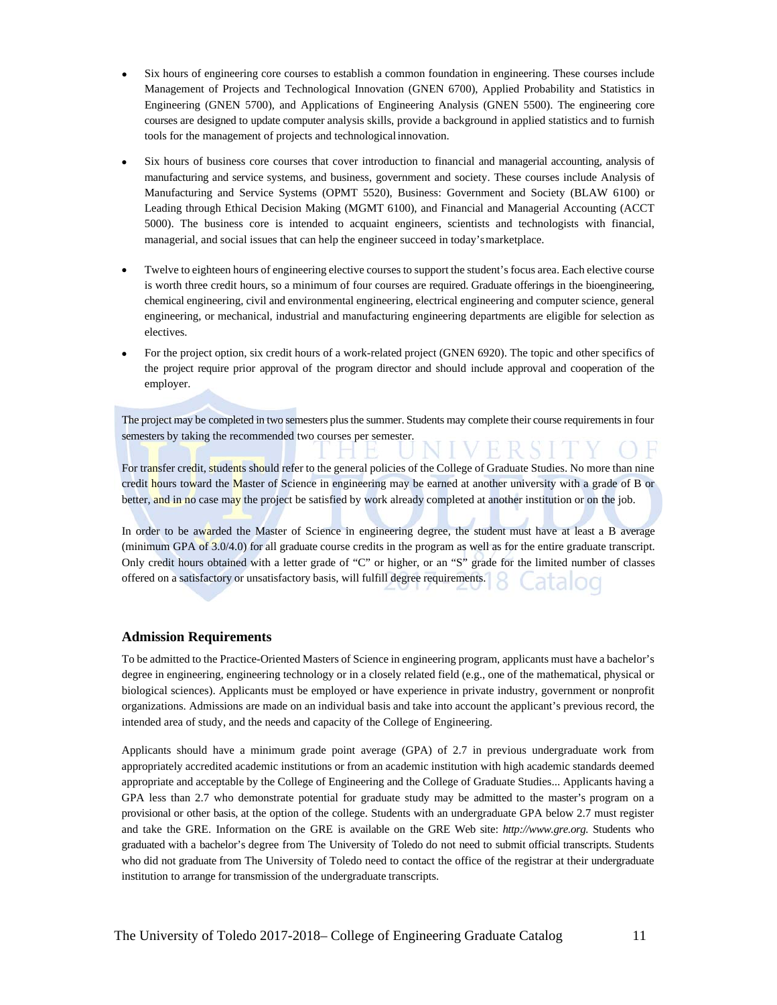- Six hours of engineering core courses to establish a common foundation in engineering. These courses include Management of Projects and Technological Innovation (GNEN 6700), Applied Probability and Statistics in Engineering (GNEN 5700), and Applications of Engineering Analysis (GNEN 5500). The engineering core courses are designed to update computer analysis skills, provide a background in applied statistics and to furnish tools for the management of projects and technological innovation.
- Six hours of business core courses that cover introduction to financial and managerial accounting, analysis of manufacturing and service systems, and business, government and society. These courses include Analysis of Manufacturing and Service Systems (OPMT 5520), Business: Government and Society (BLAW 6100) or Leading through Ethical Decision Making (MGMT 6100), and Financial and Managerial Accounting (ACCT 5000). The business core is intended to acquaint engineers, scientists and technologists with financial, managerial, and social issues that can help the engineer succeed in today's marketplace.
- Twelve to eighteen hours of engineering elective courses to support the student's focus area. Each elective course is worth three credit hours, so a minimum of four courses are required. Graduate offerings in the bioengineering, chemical engineering, civil and environmental engineering, electrical engineering and computer science, general engineering, or mechanical, industrial and manufacturing engineering departments are eligible for selection as electives.
- For the project option, six credit hours of a work-related project (GNEN 6920). The topic and other specifics of the project require prior approval of the program director and should include approval and cooperation of the employer.

The project may be completed in two semesters plus the summer. Students may complete their course requirements in four semesters by taking the recommended two courses per semester.

For transfer credit, students should refer to the general policies of the College of Graduate Studies. No more than nine credit hours toward the Master of Science in engineering may be earned at another university with a grade of B or better, and in no case may the project be satisfied by work already completed at another institution or on the job.

In order to be awarded the Master of Science in engineering degree, the student must have at least a B average (minimum GPA of 3.0/4.0) for all graduate course credits in the program as well as for the entire graduate transcript. Only credit hours obtained with a letter grade of "C" or higher, or an "S" grade for the limited number of classes offered on a satisfactory or unsatisfactory basis, will fulfill degree requirements.

#### **Admission Requirements**

To be admitted to the Practice-Oriented Masters of Science in engineering program, applicants must have a bachelor's degree in engineering, engineering technology or in a closely related field (e.g., one of the mathematical, physical or biological sciences). Applicants must be employed or have experience in private industry, government or nonprofit organizations. Admissions are made on an individual basis and take into account the applicant's previous record, the intended area of study, and the needs and capacity of the College of Engineering.

Applicants should have a minimum grade point average (GPA) of 2.7 in previous undergraduate work from appropriately accredited academic institutions or from an academic institution with high academic standards deemed appropriate and acceptable by the College of Engineering and the College of Graduate Studies... Applicants having a GPA less than 2.7 who demonstrate potential for graduate study may be admitted to the master's program on a provisional or other basis, at the option of the college. Students with an undergraduate GPA below 2.7 must register and take the GRE. Information on the GRE is available on the GRE Web site: *http://www.gre.org.* Students who graduated with a bachelor's degree from The University of Toledo do not need to submit official transcripts. Students who did not graduate from The University of Toledo need to contact the office of the registrar at their undergraduate institution to arrange for transmission of the undergraduate transcripts.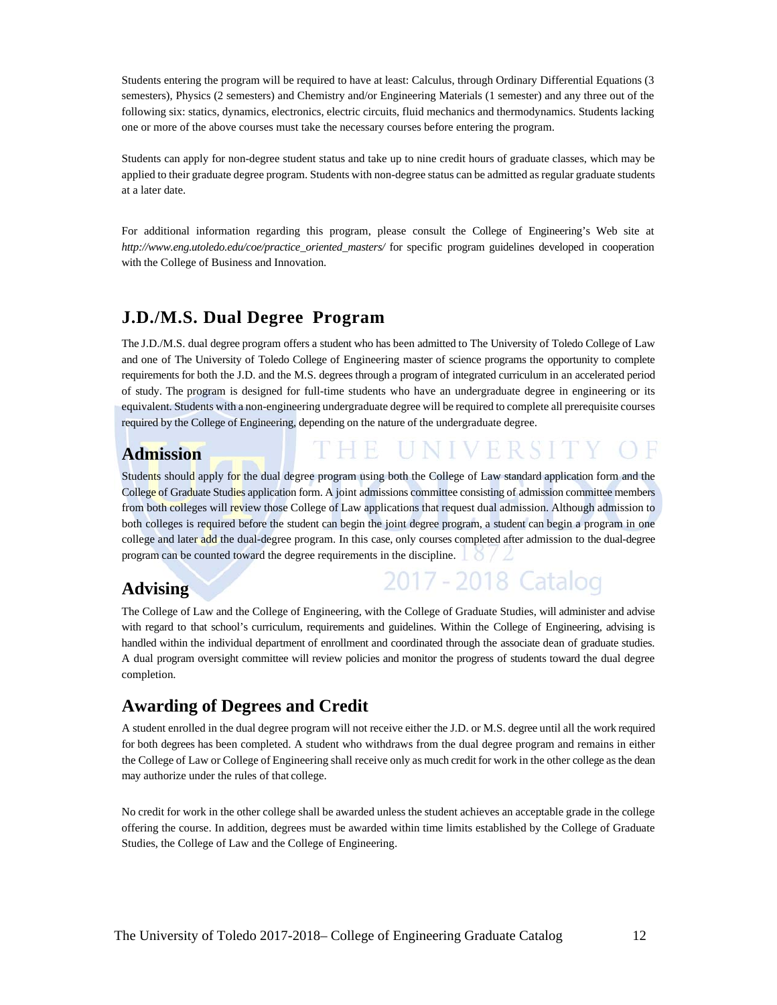Students entering the program will be required to have at least: Calculus, through Ordinary Differential Equations (3 semesters), Physics (2 semesters) and Chemistry and/or Engineering Materials (1 semester) and any three out of the following six: statics, dynamics, electronics, electric circuits, fluid mechanics and thermodynamics. Students lacking one or more of the above courses must take the necessary courses before entering the program.

Students can apply for non-degree student status and take up to nine credit hours of graduate classes, which may be applied to their graduate degree program. Students with non-degree status can be admitted as regular graduate students at a later date.

For additional information regarding this program, please consult the College of Engineering's Web site at *http://www.eng.utoledo.edu/coe/practice\_oriented\_masters/* for specific program guidelines developed in cooperation with the College of Business and Innovation.

## **J.D./M.S. Dual Degree Program**

The J.D./M.S. dual degree program offers a student who has been admitted to The University of Toledo College of Law and one of The University of Toledo College of Engineering master of science programs the opportunity to complete requirements for both the J.D. and the M.S. degrees through a program of integrated curriculum in an accelerated period of study. The program is designed for full-time students who have an undergraduate degree in engineering or its equivalent. Students with a non-engineering undergraduate degree will be required to complete all prerequisite courses required by the College of Engineering, depending on the nature of the undergraduate degree.

### **Admission**

Students should apply for the dual degree program using both the College of Law standard application form and the College of Graduate Studies application form. A joint admissions committee consisting of admission committee members from both colleges will review those College of Law applications that request dual admission. Although admission to both colleges is required before the student can begin the joint degree program, a student can begin a program in one college and later add the dual-degree program. In this case, only courses completed after admission to the dual-degree program can be counted toward the degree requirements in the discipline.

THE UNIVERSI

2017 - 2018 Catalog

## **Advising**

The College of Law and the College of Engineering, with the College of Graduate Studies, will administer and advise with regard to that school's curriculum, requirements and guidelines. Within the College of Engineering, advising is handled within the individual department of enrollment and coordinated through the associate dean of graduate studies. A dual program oversight committee will review policies and monitor the progress of students toward the dual degree completion.

## **Awarding of Degrees and Credit**

A student enrolled in the dual degree program will not receive either the J.D. or M.S. degree until all the work required for both degrees has been completed. A student who withdraws from the dual degree program and remains in either the College of Law or College of Engineering shall receive only as much credit for work in the other college as the dean may authorize under the rules of that college.

No credit for work in the other college shall be awarded unless the student achieves an acceptable grade in the college offering the course. In addition, degrees must be awarded within time limits established by the College of Graduate Studies, the College of Law and the College of Engineering.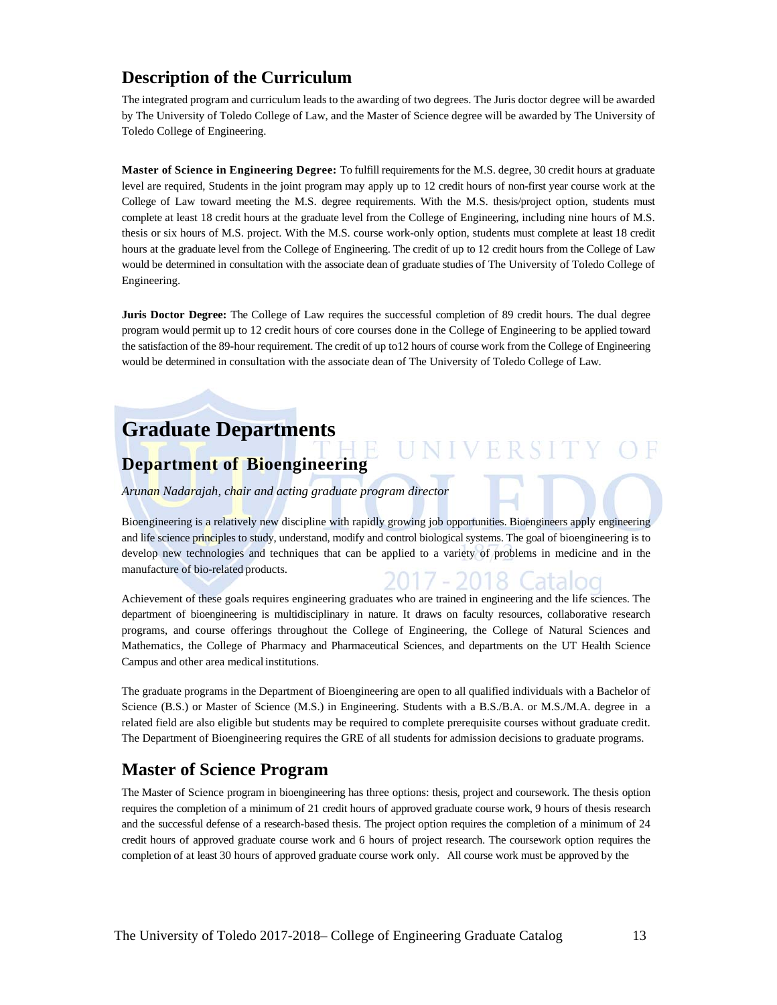### **Description of the Curriculum**

The integrated program and curriculum leads to the awarding of two degrees. The Juris doctor degree will be awarded by The University of Toledo College of Law, and the Master of Science degree will be awarded by The University of Toledo College of Engineering.

**Master of Science in Engineering Degree:** To fulfill requirements for the M.S. degree, 30 credit hours at graduate level are required, Students in the joint program may apply up to 12 credit hours of non-first year course work at the College of Law toward meeting the M.S. degree requirements. With the M.S. thesis/project option, students must complete at least 18 credit hours at the graduate level from the College of Engineering, including nine hours of M.S. thesis or six hours of M.S. project. With the M.S. course work-only option, students must complete at least 18 credit hours at the graduate level from the College of Engineering. The credit of up to 12 credit hours from the College of Law would be determined in consultation with the associate dean of graduate studies of The University of Toledo College of Engineering.

**Juris Doctor Degree:** The College of Law requires the successful completion of 89 credit hours. The dual degree program would permit up to 12 credit hours of core courses done in the College of Engineering to be applied toward the satisfaction of the 89-hour requirement. The credit of up to12 hours of course work from the College of Engineering would be determined in consultation with the associate dean of The University of Toledo College of Law.

# **Graduate Departments**

## **Department of Bioengineering**

*Arunan Nadarajah, chair and acting graduate program director* 

Bioengineering is a relatively new discipline with rapidly growing job opportunities. Bioengineers apply engineering and life science principles to study, understand, modify and control biological systems. The goal of bioengineering is to develop new technologies and techniques that can be applied to a variety of problems in medicine and in the manufacture of bio-related products.  $\mathcal{D}(1)$ atalog

UNIVERSITY

Achievement of these goals requires engineering graduates who are trained in engineering and the life sciences. The department of bioengineering is multidisciplinary in nature. It draws on faculty resources, collaborative research programs, and course offerings throughout the College of Engineering, the College of Natural Sciences and Mathematics, the College of Pharmacy and Pharmaceutical Sciences, and departments on the UT Health Science Campus and other area medical institutions.

The graduate programs in the Department of Bioengineering are open to all qualified individuals with a Bachelor of Science (B.S.) or Master of Science (M.S.) in Engineering. Students with a B.S./B.A. or M.S./M.A. degree in a related field are also eligible but students may be required to complete prerequisite courses without graduate credit. The Department of Bioengineering requires the GRE of all students for admission decisions to graduate programs.

## **Master of Science Program**

The Master of Science program in bioengineering has three options: thesis, project and coursework. The thesis option requires the completion of a minimum of 21 credit hours of approved graduate course work, 9 hours of thesis research and the successful defense of a research-based thesis. The project option requires the completion of a minimum of 24 credit hours of approved graduate course work and 6 hours of project research. The coursework option requires the completion of at least 30 hours of approved graduate course work only. All course work must be approved by the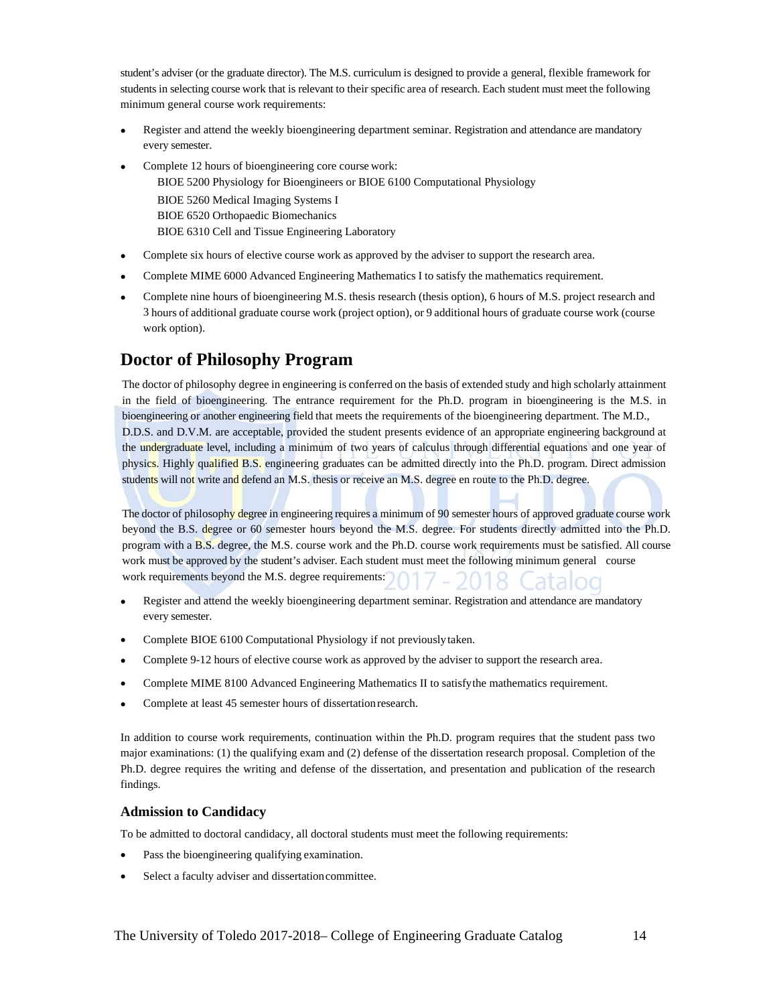student's adviser (or the graduate director). The M.S. curriculum is designed to provide a general, flexible framework for students in selecting course work that is relevant to their specific area of research. Each student must meet the following minimum general course work requirements:

- Register and attend the weekly bioengineering department seminar. Registration and attendance are mandatory every semester.
- Complete 12 hours of bioengineering core course work:

BIOE 5200 Physiology for Bioengineers or BIOE 6100 Computational Physiology BIOE 5260 Medical Imaging Systems I BIOE 6520 Orthopaedic Biomechanics BIOE 6310 Cell and Tissue Engineering Laboratory

- Complete six hours of elective course work as approved by the adviser to support the research area.
- Complete MIME 6000 Advanced Engineering Mathematics I to satisfy the mathematics requirement.
- Complete nine hours of bioengineering M.S. thesis research (thesis option), 6 hours of M.S. project research and 3 hours of additional graduate course work (project option), or 9 additional hours of graduate course work (course work option).

### **Doctor of Philosophy Program**

The doctor of philosophy degree in engineering is conferred on the basis of extended study and high scholarly attainment in the field of bioengineering. The entrance requirement for the Ph.D. program in bioengineering is the M.S. in bioengineering or another engineering field that meets the requirements of the bioengineering department. The M.D., D.D.S. and D.V.M. are acceptable, provided the student presents evidence of an appropriate engineering background at the undergraduate level, including a minimum of two years of calculus through differential equations and one year of physics. Highly qualified B.S. engineering graduates can be admitted directly into the Ph.D. program. Direct admission students will not write and defend an M.S. thesis or receive an M.S. degree en route to the Ph.D. degree.

The doctor of philosophy degree in engineering requires a minimum of 90 semester hours of approved graduate course work beyond the B.S. degree or 60 semester hours beyond the M.S. degree. For students directly admitted into the Ph.D. program with a B.S. degree, the M.S. course work and the Ph.D. course work requirements must be satisfied. All course work must be approved by the student's adviser. Each student must meet the following minimum general course work requirements beyond the M.S. degree requirements:

- Register and attend the weekly bioengineering department seminar. Registration and attendance are mandatory every semester.
- Complete BIOE 6100 Computational Physiology if not previously taken.
- Complete 9-12 hours of elective course work as approved by the adviser to support the research area.
- Complete MIME 8100 Advanced Engineering Mathematics II to satisfy the mathematics requirement.
- Complete at least 45 semester hours of dissertation research.

In addition to course work requirements, continuation within the Ph.D. program requires that the student pass two major examinations: (1) the qualifying exam and (2) defense of the dissertation research proposal. Completion of the Ph.D. degree requires the writing and defense of the dissertation, and presentation and publication of the research findings.

#### **Admission to Candidacy**

To be admitted to doctoral candidacy, all doctoral students must meet the following requirements:

- Pass the bioengineering qualifying examination.
- Select a faculty adviser and dissertation committee.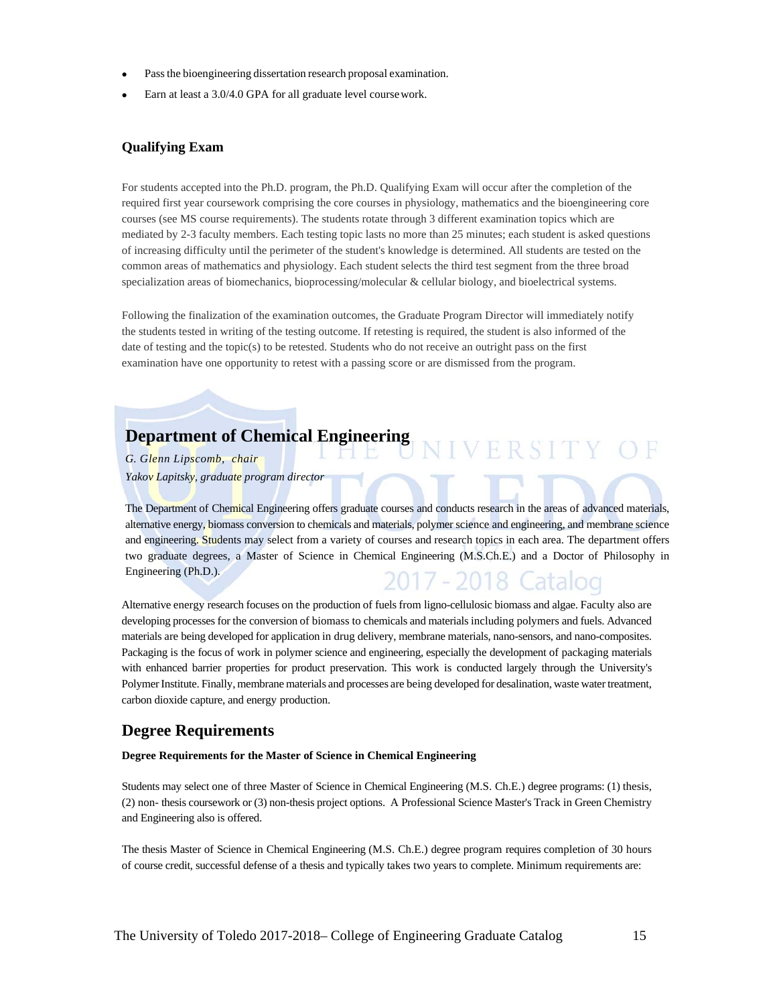- Pass the bioengineering dissertation research proposal examination.
- Earn at least a 3.0/4.0 GPA for all graduate level course work.

#### **Qualifying Exam**

For students accepted into the Ph.D. program, the Ph.D. Qualifying Exam will occur after the completion of the required first year coursework comprising the core courses in physiology, mathematics and the bioengineering core courses (see MS course requirements). The students rotate through 3 different examination topics which are mediated by 2-3 faculty members. Each testing topic lasts no more than 25 minutes; each student is asked questions of increasing difficulty until the perimeter of the student's knowledge is determined. All students are tested on the common areas of mathematics and physiology. Each student selects the third test segment from the three broad specialization areas of biomechanics, bioprocessing/molecular & cellular biology, and bioelectrical systems.

Following the finalization of the examination outcomes, the Graduate Program Director will immediately notify the students tested in writing of the testing outcome. If retesting is required, the student is also informed of the date of testing and the topic(s) to be retested. Students who do not receive an outright pass on the first examination have one opportunity to retest with a passing score or are dismissed from the program.

## **Department of Chemical Engineering**

*G. Glenn Lipscomb, chair Yakov Lapitsky, graduate program director*

The Department of Chemical Engineering offers graduate courses and conducts research in the areas of advanced materials, alternative energy, biomass conversion to chemicals and materials, polymer science and engineering, and membrane science and engineering. Students may select from a variety of courses and research topics in each area. The department offers two graduate degrees, a Master of Science in Chemical Engineering (M.S.Ch.E.) and a Doctor of Philosophy in Engineering (Ph.D.). 2017 - 2018 Catalod

Alternative energy research focuses on the production of fuels from ligno-cellulosic biomass and algae. Faculty also are developing processes for the conversion of biomass to chemicals and materials including polymers and fuels. Advanced materials are being developed for application in drug delivery, membrane materials, nano-sensors, and nano-composites. Packaging is the focus of work in polymer science and engineering, especially the development of packaging materials with enhanced barrier properties for product preservation. This work is conducted largely through the University's Polymer Institute. Finally, membrane materials and processes are being developed for desalination, waste water treatment, carbon dioxide capture, and energy production.

#### **Degree Requirements**

#### **Degree Requirements for the Master of Science in Chemical Engineering**

Students may select one of three Master of Science in Chemical Engineering (M.S. Ch.E.) degree programs: (1) thesis, (2) non- thesis coursework or (3) non-thesis project options. A Professional Science Master's Track in Green Chemistry and Engineering also is offered.

The thesis Master of Science in Chemical Engineering (M.S. Ch.E.) degree program requires completion of 30 hours of course credit, successful defense of a thesis and typically takes two years to complete. Minimum requirements are:

VERSITY OF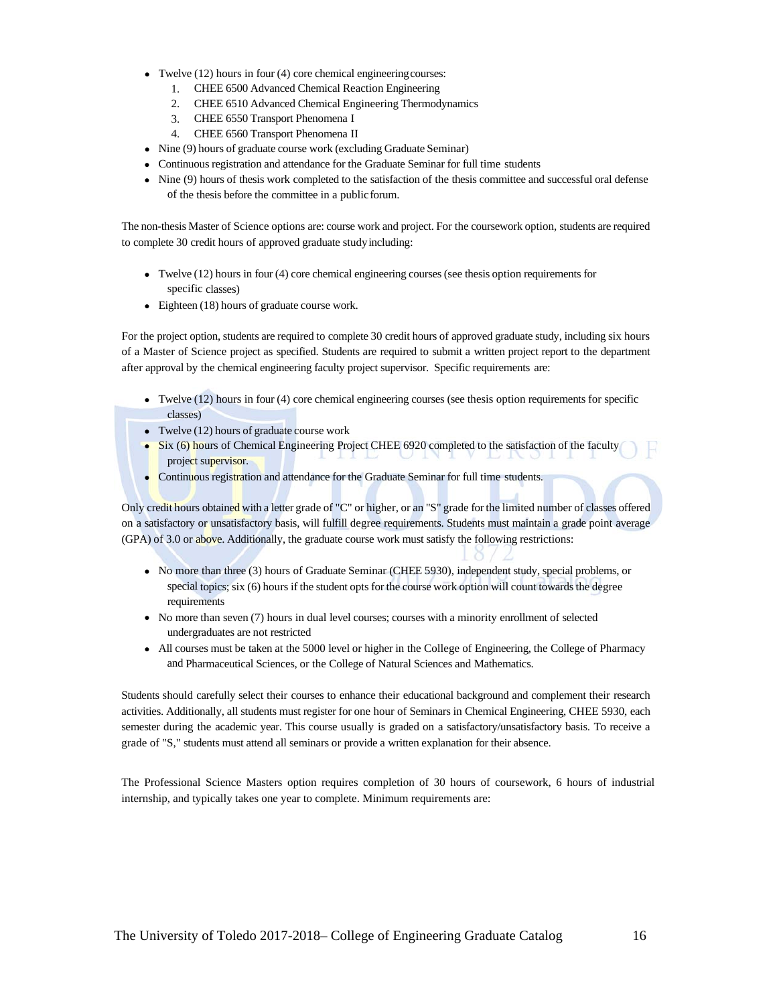- Twelve (12) hours in four (4) core chemical engineering courses:
	- 1. CHEE 6500 Advanced Chemical Reaction Engineering
	- 2. CHEE 6510 Advanced Chemical Engineering Thermodynamics
	- 3. CHEE 6550 Transport Phenomena I
	- 4. CHEE 6560 Transport Phenomena II
- Nine (9) hours of graduate course work (excluding Graduate Seminar)
- Continuous registration and attendance for the Graduate Seminar for full time students
- Nine (9) hours of thesis work completed to the satisfaction of the thesis committee and successful oral defense of the thesis before the committee in a public forum.

The non-thesis Master of Science options are: course work and project. For the coursework option, students are required to complete 30 credit hours of approved graduate study including:

- Twelve (12) hours in four (4) core chemical engineering courses (see thesis option requirements for specific classes)
- Eighteen (18) hours of graduate course work.

For the project option, students are required to complete 30 credit hours of approved graduate study, including six hours of a Master of Science project as specified. Students are required to submit a written project report to the department after approval by the chemical engineering faculty project supervisor. Specific requirements are:

- Twelve (12) hours in four (4) core chemical engineering courses (see thesis option requirements for specific classes)
- Twelve (12) hours of graduate course work
- Six (6) hours of Chemical Engineering Project CHEE 6920 completed to the satisfaction of the faculty project supervisor.
- Continuous registration and attendance for the Graduate Seminar for full time students.

Only credit hours obtained with a letter grade of "C" or higher, or an "S" grade for the limited number of classes offered on a satisfactory or unsatisfactory basis, will fulfill degree requirements. Students must maintain a grade point average (GPA) of 3.0 or above. Additionally, the graduate course work must satisfy the following restrictions:

- No more than three (3) hours of Graduate Seminar (CHEE 5930), independent study, special problems, or special topics; six (6) hours if the student opts for the course work option will count towards the degree requirements
- No more than seven (7) hours in dual level courses; courses with a minority enrollment of selected undergraduates are not restricted
- All courses must be taken at the 5000 level or higher in the College of Engineering, the College of Pharmacy and Pharmaceutical Sciences, or the College of Natural Sciences and Mathematics.

Students should carefully select their courses to enhance their educational background and complement their research activities. Additionally, all students must register for one hour of Seminars in Chemical Engineering, CHEE 5930, each semester during the academic year. This course usually is graded on a satisfactory/unsatisfactory basis. To receive a grade of "S," students must attend all seminars or provide a written explanation for their absence.

The Professional Science Masters option requires completion of 30 hours of coursework, 6 hours of industrial internship, and typically takes one year to complete. Minimum requirements are: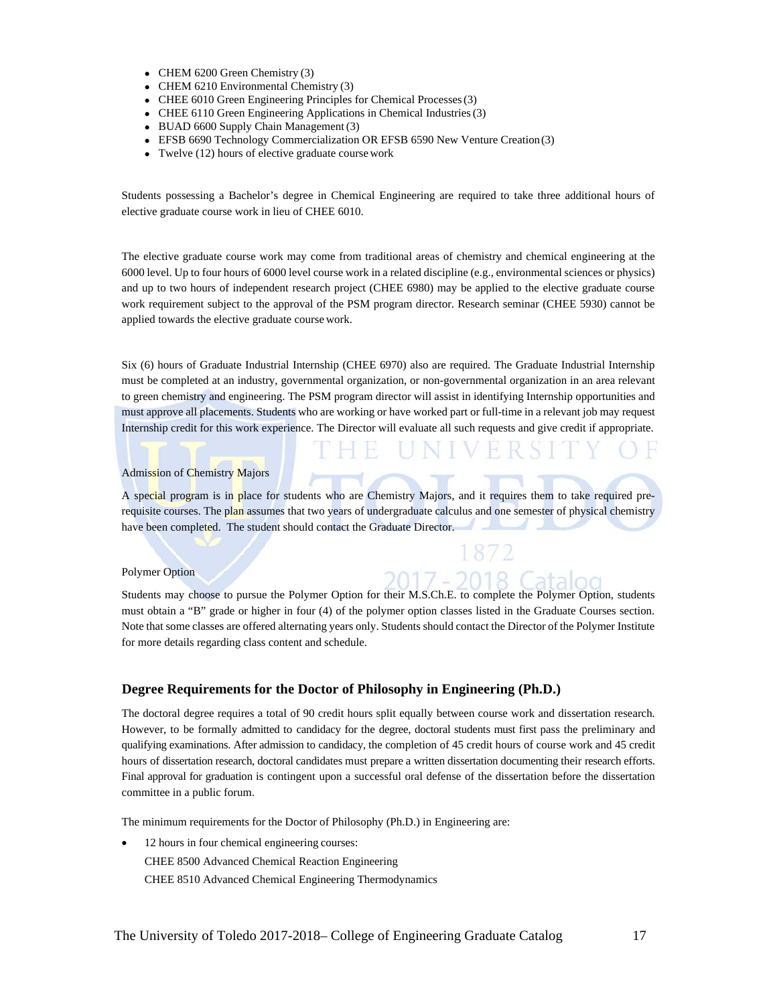- CHEM 6200 Green Chemistry (3)
- CHEM 6210 Environmental Chemistry (3)
- CHEE 6010 Green Engineering Principles for Chemical Processes (3)
- CHEE 6110 Green Engineering Applications in Chemical Industries (3)
- BUAD 6600 Supply Chain Management (3)
- EFSB 6690 Technology Commercialization OR EFSB 6590 New Venture Creation (3)
- Twelve (12) hours of elective graduate course work

Students possessing a Bachelor's degree in Chemical Engineering are required to take three additional hours of elective graduate course work in lieu of CHEE 6010.

The elective graduate course work may come from traditional areas of chemistry and chemical engineering at the 6000 level. Up to four hours of 6000 level course work in a related discipline (e.g., environmental sciences or physics) and up to two hours of independent research project (CHEE 6980) may be applied to the elective graduate course work requirement subject to the approval of the PSM program director. Research seminar (CHEE 5930) cannot be applied towards the elective graduate course work.

Six (6) hours of Graduate Industrial Internship (CHEE 6970) also are required. The Graduate Industrial Internship must be completed at an industry, governmental organization, or non-governmental organization in an area relevant to green chemistry and engineering. The PSM program director will assist in identifying Internship opportunities and must approve all placements. Students who are working or have worked part or full-time in a relevant job may request Internship credit for this work experience. The Director will evaluate all such requests and give credit if appropriate.

#### Admission of Chemistry Majors

A special program is in place for students who are Chemistry Majors, and it requires them to take required prerequisite courses. The plan assumes that two years of undergraduate calculus and one semester of physical chemistry have been completed. The student should contact the Graduate Director.

#### Polymer Option

Students may choose to pursue the Polymer Option for their M.S.Ch.E. to complete the Polymer Option, students must obtain a "B" grade or higher in four (4) of the polymer option classes listed in the Graduate Courses section. Note that some classes are offered alternating years only. Students should contact the Director of the Polymer Institute for more details regarding class content and schedule.

2017 -

2018 Catalog

#### **Degree Requirements for the Doctor of Philosophy in Engineering (Ph.D.)**

The doctoral degree requires a total of 90 credit hours split equally between course work and dissertation research. However, to be formally admitted to candidacy for the degree, doctoral students must first pass the preliminary and qualifying examinations. After admission to candidacy, the completion of 45 credit hours of course work and 45 credit hours of dissertation research, doctoral candidates must prepare a written dissertation documenting their research efforts. Final approval for graduation is contingent upon a successful oral defense of the dissertation before the dissertation committee in a public forum.

The minimum requirements for the Doctor of Philosophy (Ph.D.) in Engineering are:

• 12 hours in four chemical engineering courses: CHEE 8500 Advanced Chemical Reaction Engineering CHEE 8510 Advanced Chemical Engineering Thermodynamics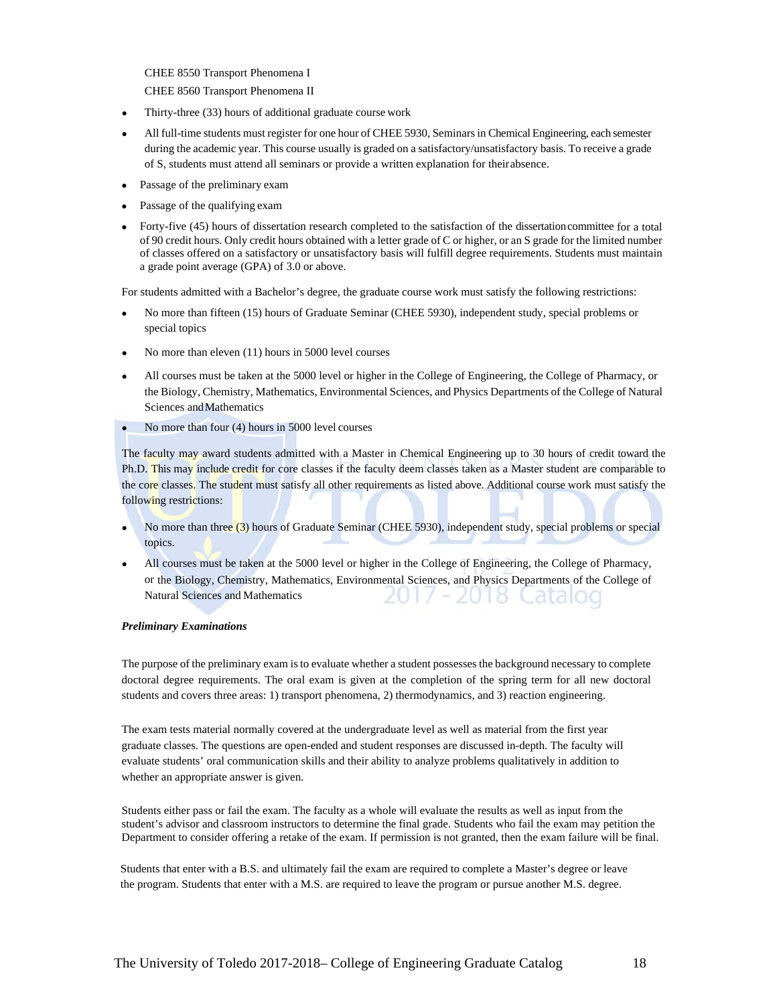CHEE 8550 Transport Phenomena I

CHEE 8560 Transport Phenomena II

- Thirty-three (33) hours of additional graduate course work
- All full-time students must register for one hour of CHEE 5930, Seminars in Chemical Engineering, each semester during the academic year. This course usually is graded on a satisfactory/unsatisfactory basis. To receive a grade of S, students must attend all seminars or provide a written explanation for their absence.
- Passage of the preliminary exam
- Passage of the qualifying exam
- Forty-five (45) hours of dissertation research completed to the satisfaction of the dissertation committee for a total of 90 credit hours. Only credit hours obtained with a letter grade of C or higher, or an S grade for the limited number of classes offered on a satisfactory or unsatisfactory basis will fulfill degree requirements. Students must maintain a grade point average (GPA) of 3.0 or above.

For students admitted with a Bachelor's degree, the graduate course work must satisfy the following restrictions:

- No more than fifteen (15) hours of Graduate Seminar (CHEE 5930), independent study, special problems or special topics
- $\bullet$ No more than eleven (11) hours in 5000 level courses
- $\bullet$ All courses must be taken at the 5000 level or higher in the College of Engineering, the College of Pharmacy, or the Biology, Chemistry, Mathematics, Environmental Sciences, and Physics Departments of the College of Natural Sciences and Mathematics
- No more than four (4) hours in 5000 level courses

The faculty may award students admitted with a Master in Chemical Engineering up to 30 hours of credit toward the Ph.D. This may include credit for core classes if the faculty deem classes taken as a Master student are comparable to the core classes. The student must satisfy all other requirements as listed above. Additional course work must satisfy the following restrictions:

- No more than three (3) hours of Graduate Seminar (CHEE 5930), independent study, special problems or special topics.
- All courses must be taken at the 5000 level or higher in the College of Engineering, the College of Pharmacy, or the Biology, Chemistry, Mathematics, Environmental Sciences, and Physics Departments of the College of Natural Sciences and Mathematics zut8 Catalod

#### *Preliminary Examinations*

The purpose of the preliminary exam is to evaluate whether a student possesses the background necessary to complete doctoral degree requirements. The oral exam is given at the completion of the spring term for all new doctoral students and covers three areas: 1) transport phenomena, 2) thermodynamics, and 3) reaction engineering.

The exam tests material normally covered at the undergraduate level as well as material from the first year graduate classes. The questions are open-ended and student responses are discussed in-depth. The faculty will evaluate students' oral communication skills and their ability to analyze problems qualitatively in addition to whether an appropriate answer is given.

Students either pass or fail the exam. The faculty as a whole will evaluate the results as well as input from the student's advisor and classroom instructors to determine the final grade. Students who fail the exam may petition the Department to consider offering a retake of the exam. If permission is not granted, then the exam failure will be final.

Students that enter with a B.S. and ultimately fail the exam are required to complete a Master's degree or leave the program. Students that enter with a M.S. are required to leave the program or pursue another M.S. degree.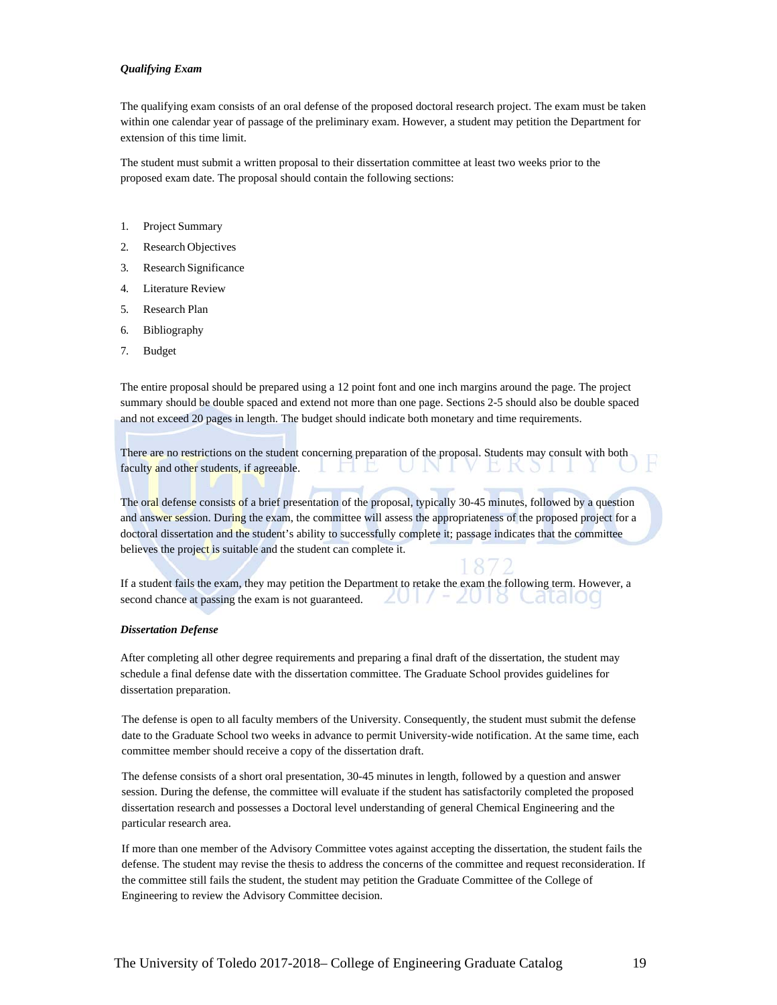#### *Qualifying Exam*

The qualifying exam consists of an oral defense of the proposed doctoral research project. The exam must be taken within one calendar year of passage of the preliminary exam. However, a student may petition the Department for extension of this time limit.

The student must submit a written proposal to their dissertation committee at least two weeks prior to the proposed exam date. The proposal should contain the following sections:

- 1. Project Summary
- 2. Research Objectives
- 3. Research Significance
- 4. Literature Review
- 5. Research Plan
- 6. Bibliography
- 7. Budget

The entire proposal should be prepared using a 12 point font and one inch margins around the page. The project summary should be double spaced and extend not more than one page. Sections 2-5 should also be double spaced and not exceed 20 pages in length. The budget should indicate both monetary and time requirements.

There are no restrictions on the student concerning preparation of the proposal. Students may consult with both faculty and other students, if agreeable.

The oral defense consists of a brief presentation of the proposal, typically 30-45 minutes, followed by a question and answer session. During the exam, the committee will assess the appropriateness of the proposed project for a doctoral dissertation and the student's ability to successfully complete it; passage indicates that the committee believes the project is suitable and the student can complete it.

If a student fails the exam, they may petition the Department to retake the exam the following term. However, a 2017 - 2018 Cataloo second chance at passing the exam is not guaranteed.

#### *Dissertation Defense*

After completing all other degree requirements and preparing a final draft of the dissertation, the student may schedule a final defense date with the dissertation committee. The Graduate School provides guidelines for dissertation preparation.

The defense is open to all faculty members of the University. Consequently, the student must submit the defense date to the Graduate School two weeks in advance to permit University-wide notification. At the same time, each committee member should receive a copy of the dissertation draft.

The defense consists of a short oral presentation, 30-45 minutes in length, followed by a question and answer session. During the defense, the committee will evaluate if the student has satisfactorily completed the proposed dissertation research and possesses a Doctoral level understanding of general Chemical Engineering and the particular research area.

If more than one member of the Advisory Committee votes against accepting the dissertation, the student fails the defense. The student may revise the thesis to address the concerns of the committee and request reconsideration. If the committee still fails the student, the student may petition the Graduate Committee of the College of Engineering to review the Advisory Committee decision.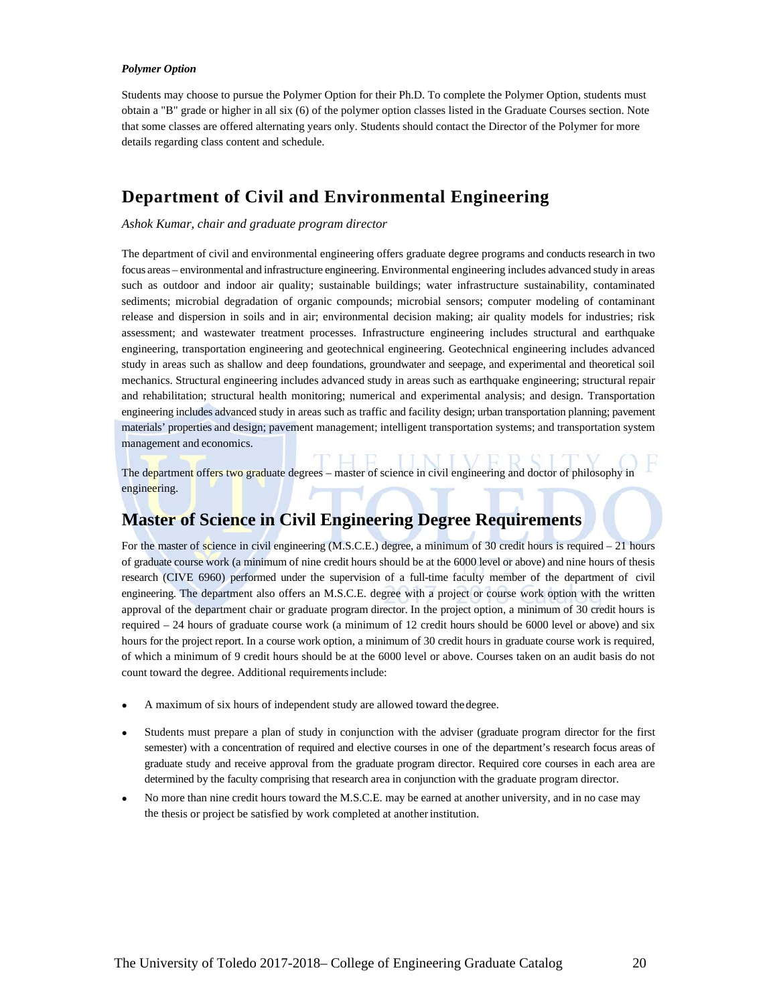#### *Polymer Option*

Students may choose to pursue the Polymer Option for their Ph.D. To complete the Polymer Option, students must obtain a "B" grade or higher in all six (6) of the polymer option classes listed in the Graduate Courses section. Note that some classes are offered alternating years only. Students should contact the Director of the Polymer for more details regarding class content and schedule.

### **Department of Civil and Environmental Engineering**

#### *Ashok Kumar, chair and graduate program director*

The department of civil and environmental engineering offers graduate degree programs and conducts research in two focus areas – environmental and infrastructure engineering. Environmental engineering includes advanced study in areas such as outdoor and indoor air quality; sustainable buildings; water infrastructure sustainability, contaminated sediments; microbial degradation of organic compounds; microbial sensors; computer modeling of contaminant release and dispersion in soils and in air; environmental decision making; air quality models for industries; risk assessment; and wastewater treatment processes. Infrastructure engineering includes structural and earthquake engineering, transportation engineering and geotechnical engineering. Geotechnical engineering includes advanced study in areas such as shallow and deep foundations, groundwater and seepage, and experimental and theoretical soil mechanics. Structural engineering includes advanced study in areas such as earthquake engineering; structural repair and rehabilitation; structural health monitoring; numerical and experimental analysis; and design. Transportation engineering includes advanced study in areas such as traffic and facility design; urban transportation planning; pavement materials' properties and design; pavement management; intelligent transportation systems; and transportation system management and economics.

The department offers two graduate degrees – master of science in civil engineering and doctor of philosophy in engineering.

## **Master of Science in Civil Engineering Degree Requirements**

For the master of science in civil engineering (M.S.C.E.) degree, a minimum of 30 credit hours is required – 21 hours of graduate course work (a minimum of nine credit hours should be at the 6000 level or above) and nine hours of thesis research (CIVE 6960) performed under the supervision of a full-time faculty member of the department of civil engineering. The department also offers an M.S.C.E. degree with a project or course work option with the written approval of the department chair or graduate program director. In the project option, a minimum of 30 credit hours is required – 24 hours of graduate course work (a minimum of 12 credit hours should be 6000 level or above) and six hours for the project report. In a course work option, a minimum of 30 credit hours in graduate course work is required, of which a minimum of 9 credit hours should be at the 6000 level or above. Courses taken on an audit basis do not count toward the degree. Additional requirements include:

- A maximum of six hours of independent study are allowed toward the degree.
- Students must prepare a plan of study in conjunction with the adviser (graduate program director for the first semester) with a concentration of required and elective courses in one of the department's research focus areas of graduate study and receive approval from the graduate program director. Required core courses in each area are determined by the faculty comprising that research area in conjunction with the graduate program director.
- No more than nine credit hours toward the M.S.C.E. may be earned at another university, and in no case may the thesis or project be satisfied by work completed at another institution.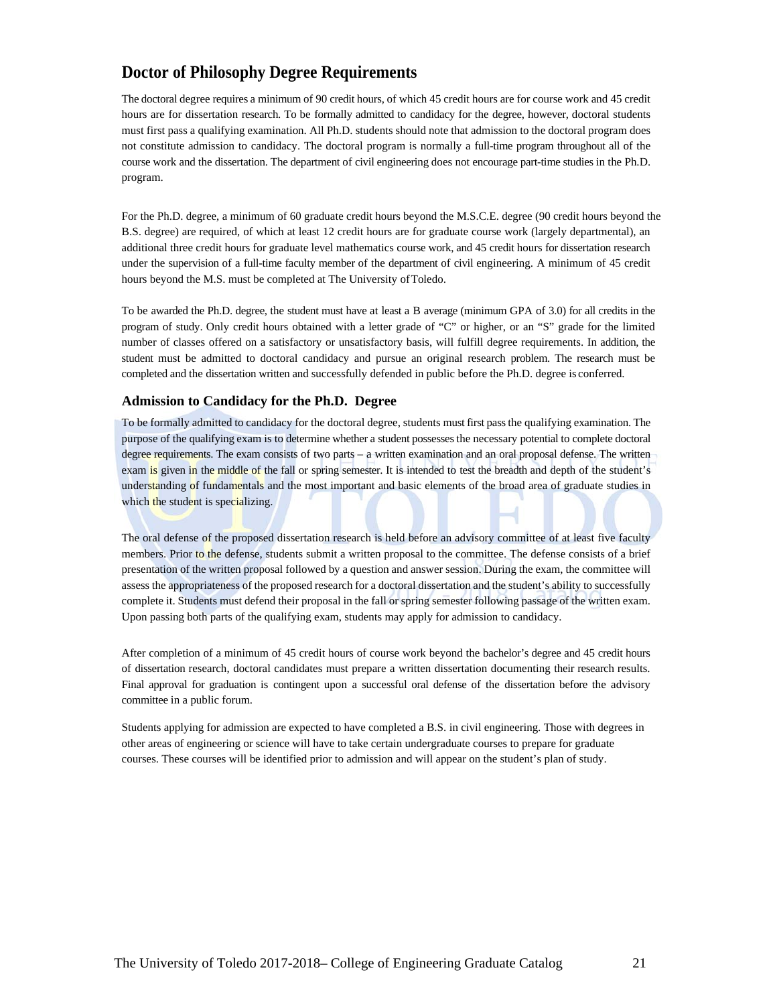## **Doctor of Philosophy Degree Requirements**

The doctoral degree requires a minimum of 90 credit hours, of which 45 credit hours are for course work and 45 credit hours are for dissertation research. To be formally admitted to candidacy for the degree, however, doctoral students must first pass a qualifying examination. All Ph.D. students should note that admission to the doctoral program does not constitute admission to candidacy. The doctoral program is normally a full-time program throughout all of the course work and the dissertation. The department of civil engineering does not encourage part-time studies in the Ph.D. program.

For the Ph.D. degree, a minimum of 60 graduate credit hours beyond the M.S.C.E. degree (90 credit hours beyond the B.S. degree) are required, of which at least 12 credit hours are for graduate course work (largely departmental), an additional three credit hours for graduate level mathematics course work, and 45 credit hours for dissertation research under the supervision of a full-time faculty member of the department of civil engineering. A minimum of 45 credit hours beyond the M.S. must be completed at The University of Toledo.

To be awarded the Ph.D. degree, the student must have at least a B average (minimum GPA of 3.0) for all credits in the program of study. Only credit hours obtained with a letter grade of "C" or higher, or an "S" grade for the limited number of classes offered on a satisfactory or unsatisfactory basis, will fulfill degree requirements. In addition, the student must be admitted to doctoral candidacy and pursue an original research problem. The research must be completed and the dissertation written and successfully defended in public before the Ph.D. degree is conferred.

#### **Admission to Candidacy for the Ph.D. Degree**

To be formally admitted to candidacy for the doctoral degree, students must first pass the qualifying examination. The purpose of the qualifying exam is to determine whether a student possesses the necessary potential to complete doctoral degree requirements. The exam consists of two parts – a written examination and an oral proposal defense. The written exam is given in the middle of the fall or spring semester. It is intended to test the breadth and depth of the student's understanding of fundamentals and the most important and basic elements of the broad area of graduate studies in which the student is specializing.

The oral defense of the proposed dissertation research is held before an advisory committee of at least five faculty members. Prior to the defense, students submit a written proposal to the committee. The defense consists of a brief presentation of the written proposal followed by a question and answer session. During the exam, the committee will assess the appropriateness of the proposed research for a doctoral dissertation and the student's ability to successfully complete it. Students must defend their proposal in the fall or spring semester following passage of the written exam. Upon passing both parts of the qualifying exam, students may apply for admission to candidacy.

After completion of a minimum of 45 credit hours of course work beyond the bachelor's degree and 45 credit hours of dissertation research, doctoral candidates must prepare a written dissertation documenting their research results. Final approval for graduation is contingent upon a successful oral defense of the dissertation before the advisory committee in a public forum.

Students applying for admission are expected to have completed a B.S. in civil engineering. Those with degrees in other areas of engineering or science will have to take certain undergraduate courses to prepare for graduate courses. These courses will be identified prior to admission and will appear on the student's plan of study.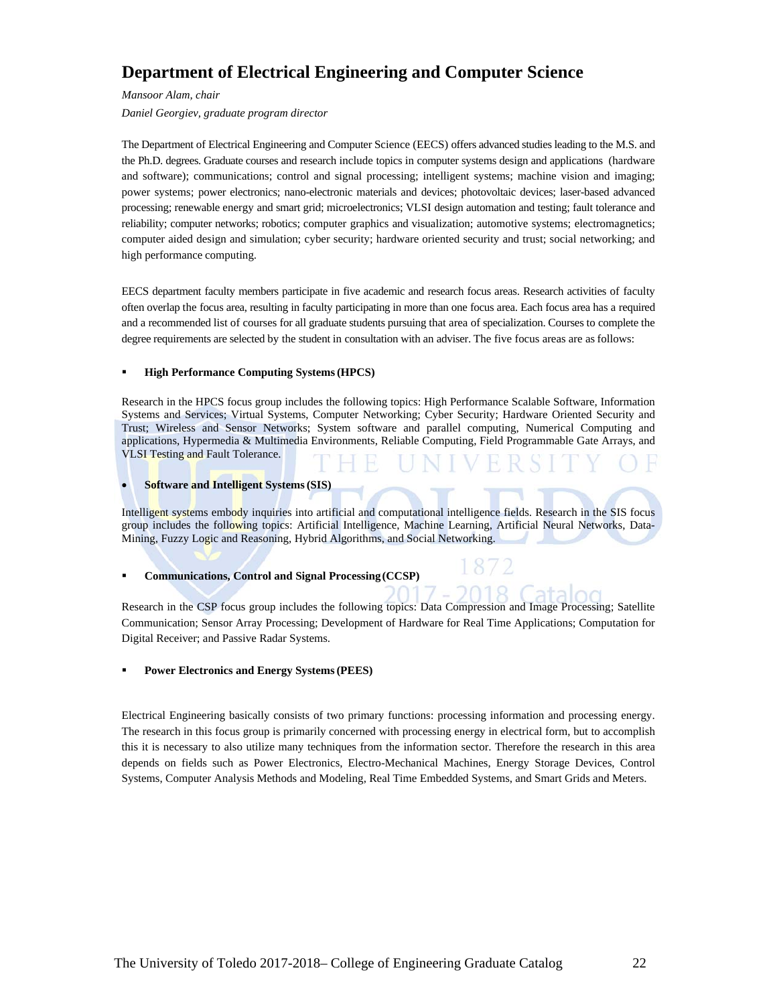## **Department of Electrical Engineering and Computer Science**

*Mansoor Alam, chair* 

*Daniel Georgiev, graduate program director* 

The Department of Electrical Engineering and Computer Science (EECS) offers advanced studies leading to the M.S. and the Ph.D. degrees. Graduate courses and research include topics in computer systems design and applications (hardware and software); communications; control and signal processing; intelligent systems; machine vision and imaging; power systems; power electronics; nano-electronic materials and devices; photovoltaic devices; laser-based advanced processing; renewable energy and smart grid; microelectronics; VLSI design automation and testing; fault tolerance and reliability; computer networks; robotics; computer graphics and visualization; automotive systems; electromagnetics; computer aided design and simulation; cyber security; hardware oriented security and trust; social networking; and high performance computing.

EECS department faculty members participate in five academic and research focus areas. Research activities of faculty often overlap the focus area, resulting in faculty participating in more than one focus area. Each focus area has a required and a recommended list of courses for all graduate students pursuing that area of specialization. Courses to complete the degree requirements are selected by the student in consultation with an adviser. The five focus areas are as follows:

#### **High Performance Computing Systems (HPCS)**

Research in the HPCS focus group includes the following topics: High Performance Scalable Software, Information Systems and Services; Virtual Systems, Computer Networking; Cyber Security; Hardware Oriented Security and Trust; Wireless and Sensor Networks; System software and parallel computing, Numerical Computing and applications, Hypermedia & Multimedia Environments, Reliable Computing, Field Programmable Gate Arrays, and VLSI Testing and Fault Tolerance.

#### **Software and Intelligent Systems (SIS)**

Intelligent systems embody inquiries into artificial and computational intelligence fields. Research in the SIS focus group includes the following topics: Artificial Intelligence, Machine Learning, Artificial Neural Networks, Data-Mining, Fuzzy Logic and Reasoning, Hybrid Algorithms, and Social Networking.

#### **Communications, Control and Signal Processing (CCSP)**

Research in the CSP focus group includes the following topics: Data Compression and Image Processing; Satellite Communication; Sensor Array Processing; Development of Hardware for Real Time Applications; Computation for Digital Receiver; and Passive Radar Systems.

#### **Power Electronics and Energy Systems (PEES)**

Electrical Engineering basically consists of two primary functions: processing information and processing energy. The research in this focus group is primarily concerned with processing energy in electrical form, but to accomplish this it is necessary to also utilize many techniques from the information sector. Therefore the research in this area depends on fields such as Power Electronics, Electro-Mechanical Machines, Energy Storage Devices, Control Systems, Computer Analysis Methods and Modeling, Real Time Embedded Systems, and Smart Grids and Meters.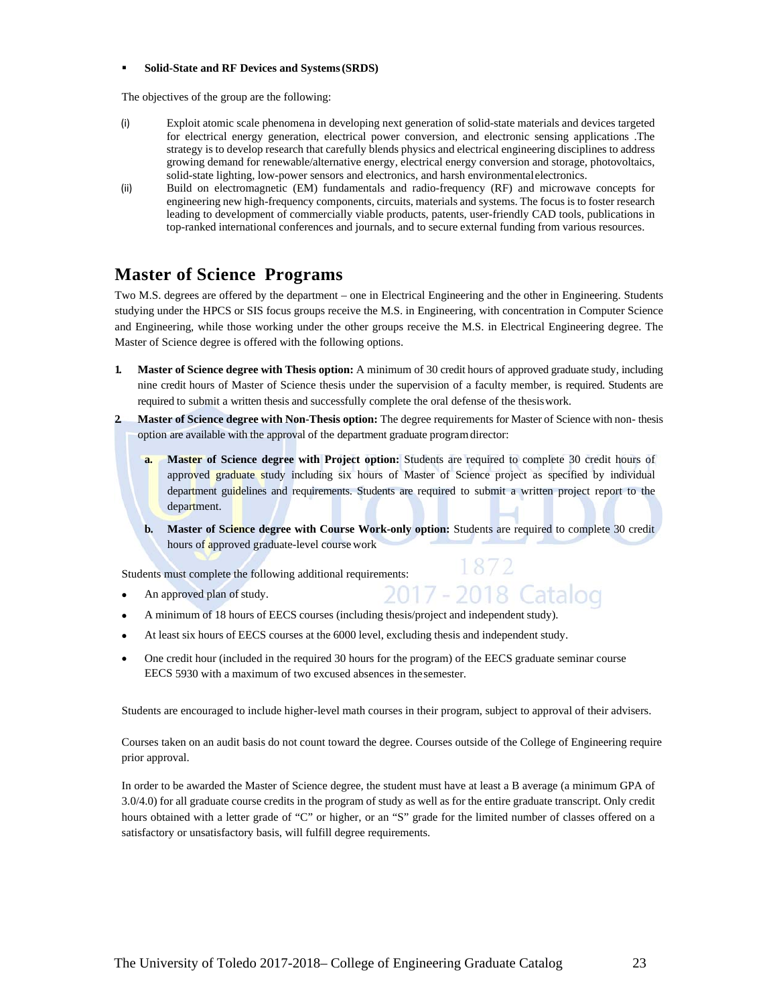#### **Solid-State and RF Devices and Systems (SRDS)**

The objectives of the group are the following:

- (i) Exploit atomic scale phenomena in developing next generation of solid-state materials and devices targeted for electrical energy generation, electrical power conversion, and electronic sensing applications .The strategy is to develop research that carefully blends physics and electrical engineering disciplines to address growing demand for renewable/alternative energy, electrical energy conversion and storage, photovoltaics, solid-state lighting, low-power sensors and electronics, and harsh environmental electronics.
- (ii) Build on electromagnetic (EM) fundamentals and radio-frequency (RF) and microwave concepts for engineering new high-frequency components, circuits, materials and systems. The focus is to foster research leading to development of commercially viable products, patents, user-friendly CAD tools, publications in top-ranked international conferences and journals, and to secure external funding from various resources.

## **Master of Science Programs**

Two M.S. degrees are offered by the department – one in Electrical Engineering and the other in Engineering. Students studying under the HPCS or SIS focus groups receive the M.S. in Engineering, with concentration in Computer Science and Engineering, while those working under the other groups receive the M.S. in Electrical Engineering degree. The Master of Science degree is offered with the following options.

- **1. Master of Science degree with Thesis option:** A minimum of 30 credit hours of approved graduate study, including nine credit hours of Master of Science thesis under the supervision of a faculty member, is required. Students are required to submit a written thesis and successfully complete the oral defense of the thesis work.
- **2. Master of Science degree with Non-Thesis option:** The degree requirements for Master of Science with non- thesis option are available with the approval of the department graduate program director:
	- **a. Master of Science degree with Project option:** Students are required to complete 30 credit hours of approved graduate study including six hours of Master of Science project as specified by individual department guidelines and requirements. Students are required to submit a written project report to the department.
	- **b. Master of Science degree with Course Work-only option:** Students are required to complete 30 credit hours of approved graduate-level course work

1872

-2018 Catalog

Students must complete the following additional requirements:

- An approved plan of study.
- A minimum of 18 hours of EECS courses (including thesis/project and independent study).
- At least six hours of EECS courses at the 6000 level, excluding thesis and independent study.
- One credit hour (included in the required 30 hours for the program) of the EECS graduate seminar course EECS 5930 with a maximum of two excused absences in the semester.

Students are encouraged to include higher-level math courses in their program, subject to approval of their advisers.

Courses taken on an audit basis do not count toward the degree. Courses outside of the College of Engineering require prior approval.

In order to be awarded the Master of Science degree, the student must have at least a B average (a minimum GPA of 3.0/4.0) for all graduate course credits in the program of study as well as for the entire graduate transcript. Only credit hours obtained with a letter grade of "C" or higher, or an "S" grade for the limited number of classes offered on a satisfactory or unsatisfactory basis, will fulfill degree requirements.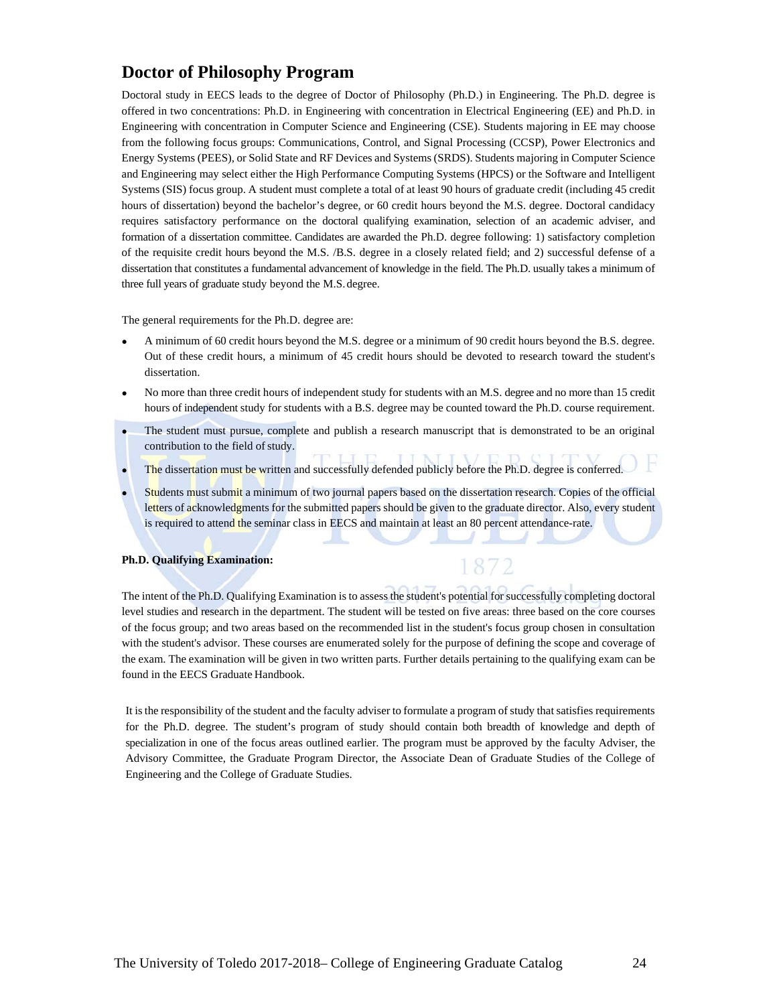## **Doctor of Philosophy Program**

Doctoral study in EECS leads to the degree of Doctor of Philosophy (Ph.D.) in Engineering. The Ph.D. degree is offered in two concentrations: Ph.D. in Engineering with concentration in Electrical Engineering (EE) and Ph.D. in Engineering with concentration in Computer Science and Engineering (CSE). Students majoring in EE may choose from the following focus groups: Communications, Control, and Signal Processing (CCSP), Power Electronics and Energy Systems (PEES), or Solid State and RF Devices and Systems (SRDS). Students majoring in Computer Science and Engineering may select either the High Performance Computing Systems (HPCS) or the Software and Intelligent Systems (SIS) focus group. A student must complete a total of at least 90 hours of graduate credit (including 45 credit hours of dissertation) beyond the bachelor's degree, or 60 credit hours beyond the M.S. degree. Doctoral candidacy requires satisfactory performance on the doctoral qualifying examination, selection of an academic adviser, and formation of a dissertation committee. Candidates are awarded the Ph.D. degree following: 1) satisfactory completion of the requisite credit hours beyond the M.S. /B.S. degree in a closely related field; and 2) successful defense of a dissertation that constitutes a fundamental advancement of knowledge in the field. The Ph.D. usually takes a minimum of three full years of graduate study beyond the M.S. degree.

The general requirements for the Ph.D. degree are:

- A minimum of 60 credit hours beyond the M.S. degree or a minimum of 90 credit hours beyond the B.S. degree. Out of these credit hours, a minimum of 45 credit hours should be devoted to research toward the student's dissertation.
- No more than three credit hours of independent study for students with an M.S. degree and no more than 15 credit hours of independent study for students with a B.S. degree may be counted toward the Ph.D. course requirement.
- The student must pursue, complete and publish a research manuscript that is demonstrated to be an original contribution to the field of study.
- The dissertation must be written and successfully defended publicly before the Ph.D. degree is conferred.
- Students must submit a minimum of two journal papers based on the dissertation research. Copies of the official letters of acknowledgments for the submitted papers should be given to the graduate director. Also, every student is required to attend the seminar class in EECS and maintain at least an 80 percent attendance-rate.

1872

#### **Ph.D. Qualifying Examination:**

The intent of the Ph.D. Qualifying Examination is to assess the student's potential for successfully completing doctoral level studies and research in the department. The student will be tested on five areas: three based on the core courses of the focus group; and two areas based on the recommended list in the student's focus group chosen in consultation with the student's advisor. These courses are enumerated solely for the purpose of defining the scope and coverage of the exam. The examination will be given in two written parts. Further details pertaining to the qualifying exam can be found in the EECS Graduate Handbook.

It is the responsibility of the student and the faculty adviser to formulate a program of study that satisfies requirements for the Ph.D. degree. The student's program of study should contain both breadth of knowledge and depth of specialization in one of the focus areas outlined earlier. The program must be approved by the faculty Adviser, the Advisory Committee, the Graduate Program Director, the Associate Dean of Graduate Studies of the College of Engineering and the College of Graduate Studies.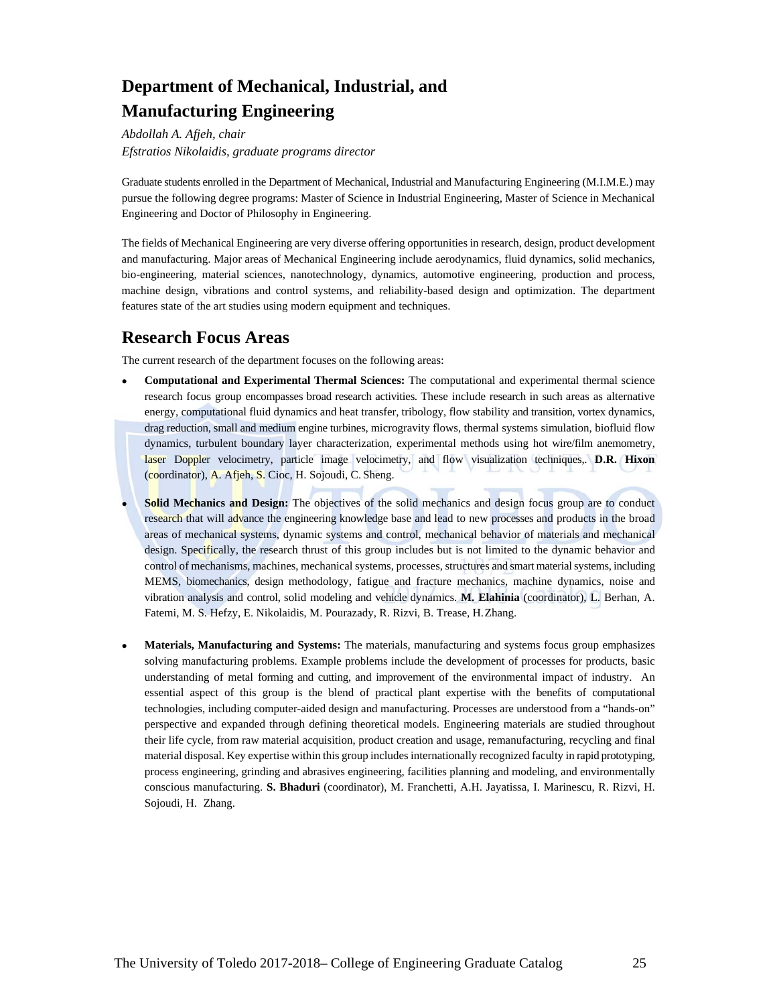# **Department of Mechanical, Industrial, and Manufacturing Engineering**

*Abdollah A. Afjeh, chair Efstratios Nikolaidis, graduate programs director* 

Graduate students enrolled in the Department of Mechanical, Industrial and Manufacturing Engineering (M.I.M.E.) may pursue the following degree programs: Master of Science in Industrial Engineering, Master of Science in Mechanical Engineering and Doctor of Philosophy in Engineering.

The fields of Mechanical Engineering are very diverse offering opportunities in research, design, product development and manufacturing. Major areas of Mechanical Engineering include aerodynamics, fluid dynamics, solid mechanics, bio-engineering, material sciences, nanotechnology, dynamics, automotive engineering, production and process, machine design, vibrations and control systems, and reliability-based design and optimization. The department features state of the art studies using modern equipment and techniques.

## **Research Focus Areas**

The current research of the department focuses on the following areas:

- **Computational and Experimental Thermal Sciences:** The computational and experimental thermal science research focus group encompasses broad research activities. These include research in such areas as alternative energy, computational fluid dynamics and heat transfer, tribology, flow stability and transition, vortex dynamics, drag reduction, small and medium engine turbines, microgravity flows, thermal systems simulation, biofluid flow dynamics, turbulent boundary layer characterization, experimental methods using hot wire/film anemometry, laser Doppler velocimetry, particle image velocimetry, and flow visualization techniques,. **D.R. Hixon**  (coordinator), A. Afjeh, S. Cioc, H. Sojoudi, C. Sheng.
- **Solid Mechanics and Design:** The objectives of the solid mechanics and design focus group are to conduct research that will advance the engineering knowledge base and lead to new processes and products in the broad areas of mechanical systems, dynamic systems and control, mechanical behavior of materials and mechanical design. Specifically, the research thrust of this group includes but is not limited to the dynamic behavior and control of mechanisms, machines, mechanical systems, processes, structures and smart material systems, including MEMS, biomechanics, design methodology, fatigue and fracture mechanics, machine dynamics, noise and vibration analysis and control, solid modeling and vehicle dynamics. **M. Elahinia** (coordinator), L. Berhan, A. Fatemi, M. S. Hefzy, E. Nikolaidis, M. Pourazady, R. Rizvi, B. Trease, H. Zhang.
- **Materials, Manufacturing and Systems:** The materials, manufacturing and systems focus group emphasizes solving manufacturing problems. Example problems include the development of processes for products, basic understanding of metal forming and cutting, and improvement of the environmental impact of industry. An essential aspect of this group is the blend of practical plant expertise with the benefits of computational technologies, including computer-aided design and manufacturing. Processes are understood from a "hands-on" perspective and expanded through defining theoretical models. Engineering materials are studied throughout their life cycle, from raw material acquisition, product creation and usage, remanufacturing, recycling and final material disposal. Key expertise within this group includes internationally recognized faculty in rapid prototyping, process engineering, grinding and abrasives engineering, facilities planning and modeling, and environmentally conscious manufacturing. **S. Bhaduri** (coordinator), M. Franchetti, A.H. Jayatissa, I. Marinescu, R. Rizvi, H. Sojoudi, H. Zhang.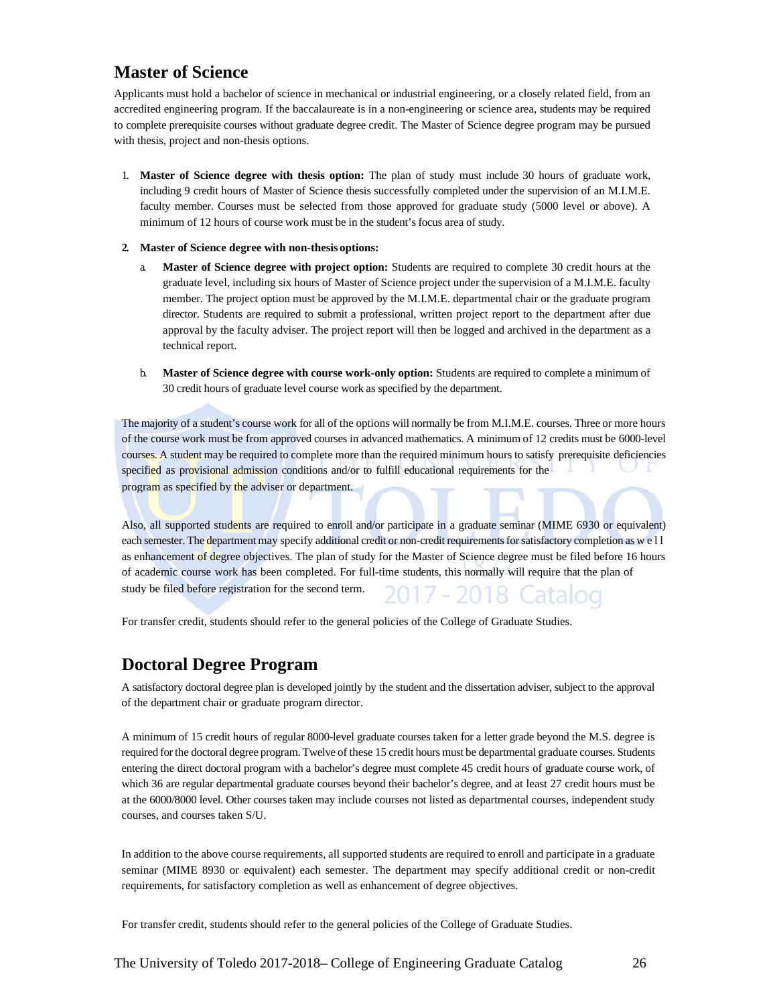## **Master of Science**

Applicants must hold a bachelor of science in mechanical or industrial engineering, or a closely related field, from an accredited engineering program. If the baccalaureate is in a non-engineering or science area, students may be required to complete prerequisite courses without graduate degree credit. The Master of Science degree program may be pursued with thesis, project and non-thesis options.

1. **Master of Science degree with thesis option:** The plan of study must include 30 hours of graduate work, including 9 credit hours of Master of Science thesis successfully completed under the supervision of an M.I.M.E. faculty member. Courses must be selected from those approved for graduate study (5000 level or above). A minimum of 12 hours of course work must be in the student's focus area of study.

#### **2. Master of Science degree with non-thesis options:**

- a. **Master of Science degree with project option:** Students are required to complete 30 credit hours at the graduate level, including six hours of Master of Science project under the supervision of a M.I.M.E. faculty member. The project option must be approved by the M.I.M.E. departmental chair or the graduate program director. Students are required to submit a professional, written project report to the department after due approval by the faculty adviser. The project report will then be logged and archived in the department as a technical report.
- b. **Master of Science degree with course work-only option:** Students are required to complete a minimum of 30 credit hours of graduate level course work as specified by the department.

The majority of a student's course work for all of the options will normally be from M.I.M.E. courses. Three or more hours of the course work must be from approved courses in advanced mathematics. A minimum of 12 credits must be 6000-level courses. A student may be required to complete more than the required minimum hours to satisfy prerequisite deficiencies specified as provisional admission conditions and/or to fulfill educational requirements for the program as specified by the adviser or department.

Also, all supported students are required to enroll and/or participate in a graduate seminar (MIME 6930 or equivalent) each semester. The department may specify additional credit or non-credit requirements for satisfactory completion as w e l l as enhancement of degree objectives. The plan of study for the Master of Science degree must be filed before 16 hours of academic course work has been completed. For full-time students, this normally will require that the plan of study be filed before registration for the second term.

For transfer credit, students should refer to the general policies of the College of Graduate Studies.

## **Doctoral Degree Program**

A satisfactory doctoral degree plan is developed jointly by the student and the dissertation adviser, subject to the approval of the department chair or graduate program director.

A minimum of 15 credit hours of regular 8000-level graduate courses taken for a letter grade beyond the M.S. degree is required for the doctoral degree program. Twelve of these 15 credit hours must be departmental graduate courses. Students entering the direct doctoral program with a bachelor's degree must complete 45 credit hours of graduate course work, of which 36 are regular departmental graduate courses beyond their bachelor's degree, and at least 27 credit hours must be at the 6000/8000 level. Other courses taken may include courses not listed as departmental courses, independent study courses, and courses taken S/U.

In addition to the above course requirements, all supported students are required to enroll and participate in a graduate seminar (MIME 8930 or equivalent) each semester. The department may specify additional credit or non-credit requirements, for satisfactory completion as well as enhancement of degree objectives.

For transfer credit, students should refer to the general policies of the College of Graduate Studies.

The University of Toledo 2017-2018– College of Engineering Graduate Catalog 26